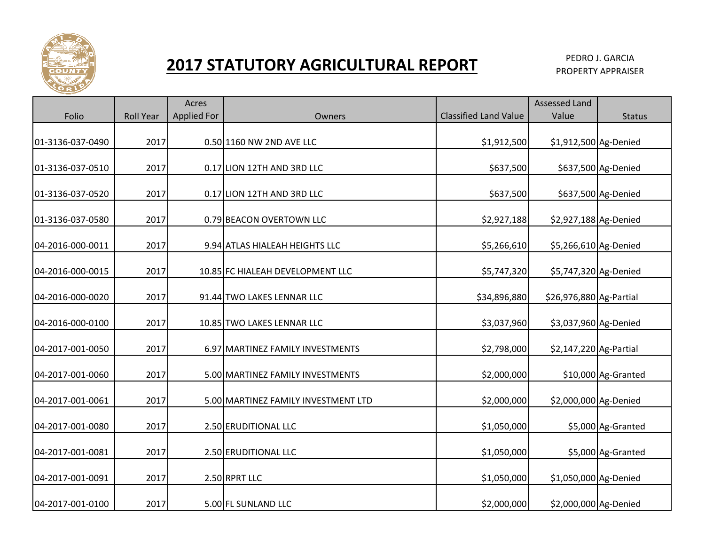

## **2017 STATUTORY AGRICULTURAL REPORT PEDRO J. GARCIA**

PROPERTY APPRAISER

|                  |                  | Acres              |                                     |                              | <b>Assessed Land</b>    |                     |
|------------------|------------------|--------------------|-------------------------------------|------------------------------|-------------------------|---------------------|
| Folio            | <b>Roll Year</b> | <b>Applied For</b> | Owners                              | <b>Classified Land Value</b> | Value                   | <b>Status</b>       |
| 01-3136-037-0490 | 2017             |                    | 0.50 1160 NW 2ND AVE LLC            | \$1,912,500                  | \$1,912,500 Ag-Denied   |                     |
| 01-3136-037-0510 | 2017             |                    | 0.17 LION 12TH AND 3RD LLC          | \$637,500                    |                         | \$637,500 Ag-Denied |
| 01-3136-037-0520 | 2017             |                    | 0.17 LION 12TH AND 3RD LLC          | \$637,500                    |                         | \$637,500 Ag-Denied |
| 01-3136-037-0580 | 2017             |                    | 0.79 BEACON OVERTOWN LLC            | \$2,927,188                  | \$2,927,188 Ag-Denied   |                     |
| 04-2016-000-0011 | 2017             |                    | 9.94 ATLAS HIALEAH HEIGHTS LLC      | \$5,266,610                  | \$5,266,610 Ag-Denied   |                     |
| 04-2016-000-0015 | 2017             |                    | 10.85 FC HIALEAH DEVELOPMENT LLC    | \$5,747,320                  | \$5,747,320 Ag-Denied   |                     |
| 04-2016-000-0020 | 2017             |                    | 91.44 TWO LAKES LENNAR LLC          | \$34,896,880                 | \$26,976,880 Ag-Partial |                     |
| 04-2016-000-0100 | 2017             |                    | 10.85 TWO LAKES LENNAR LLC          | \$3,037,960                  | \$3,037,960 Ag-Denied   |                     |
| 04-2017-001-0050 | 2017             |                    | 6.97 MARTINEZ FAMILY INVESTMENTS    | \$2,798,000                  | \$2,147,220 Ag-Partial  |                     |
| 04-2017-001-0060 | 2017             |                    | 5.00 MARTINEZ FAMILY INVESTMENTS    | \$2,000,000                  |                         | \$10,000 Ag-Granted |
| 04-2017-001-0061 | 2017             |                    | 5.00 MARTINEZ FAMILY INVESTMENT LTD | \$2,000,000                  | \$2,000,000 Ag-Denied   |                     |
| 04-2017-001-0080 | 2017             |                    | 2.50 ERUDITIONAL LLC                | \$1,050,000                  |                         | \$5,000 Ag-Granted  |
| 04-2017-001-0081 | 2017             |                    | 2.50 ERUDITIONAL LLC                | \$1,050,000                  |                         | \$5,000 Ag-Granted  |
| 04-2017-001-0091 | 2017             |                    | 2.50 RPRT LLC                       | \$1,050,000                  | \$1,050,000 Ag-Denied   |                     |
| 04-2017-001-0100 | 2017             |                    | 5.00 FL SUNLAND LLC                 | \$2,000,000                  | \$2,000,000 Ag-Denied   |                     |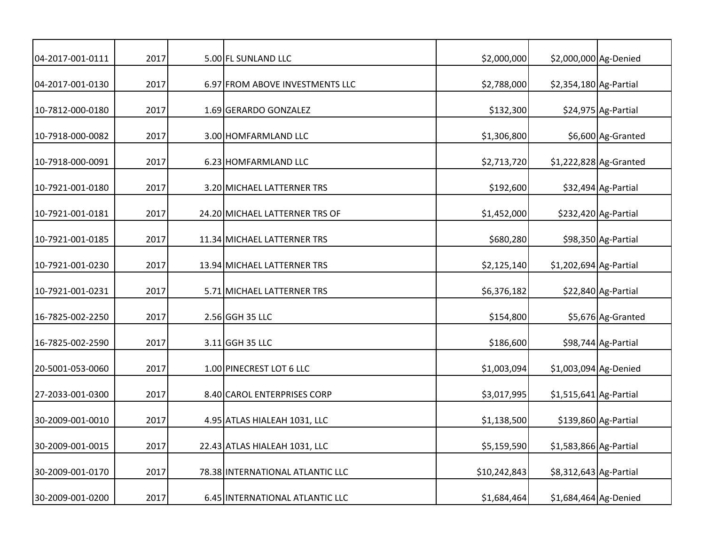| 04-2017-001-0111 | 2017 | 5.00 FL SUNLAND LLC              | \$2,000,000  | \$2,000,000 Ag-Denied   |                        |
|------------------|------|----------------------------------|--------------|-------------------------|------------------------|
| 04-2017-001-0130 | 2017 | 6.97 FROM ABOVE INVESTMENTS LLC  | \$2,788,000  | \$2,354,180 Ag-Partial  |                        |
| 10-7812-000-0180 | 2017 | 1.69 GERARDO GONZALEZ            | \$132,300    |                         | \$24,975 Ag-Partial    |
| 10-7918-000-0082 | 2017 | 3.00 HOMFARMLAND LLC             | \$1,306,800  |                         | \$6,600 Ag-Granted     |
| 10-7918-000-0091 | 2017 | 6.23 HOMFARMLAND LLC             | \$2,713,720  |                         | \$1,222,828 Ag-Granted |
| 10-7921-001-0180 | 2017 | 3.20 MICHAEL LATTERNER TRS       | \$192,600    |                         | \$32,494 Ag-Partial    |
| 10-7921-001-0181 | 2017 | 24.20 MICHAEL LATTERNER TRS OF   | \$1,452,000  |                         | \$232,420 Ag-Partial   |
| 10-7921-001-0185 | 2017 | 11.34 MICHAEL LATTERNER TRS      | \$680,280    |                         | \$98,350 Ag-Partial    |
| 10-7921-001-0230 | 2017 | 13.94 MICHAEL LATTERNER TRS      | \$2,125,140  | \$1,202,694 Ag-Partial  |                        |
| 10-7921-001-0231 | 2017 | 5.71 MICHAEL LATTERNER TRS       | \$6,376,182  |                         | \$22,840 Ag-Partial    |
| 16-7825-002-2250 | 2017 | 2.56 GGH 35 LLC                  | \$154,800    |                         | \$5,676 Ag-Granted     |
| 16-7825-002-2590 | 2017 | 3.11 GGH 35 LLC                  | \$186,600    |                         | \$98,744 Ag-Partial    |
| 20-5001-053-0060 | 2017 | 1.00 PINECREST LOT 6 LLC         | \$1,003,094  | \$1,003,094 Ag-Denied   |                        |
| 27-2033-001-0300 | 2017 | 8.40 CAROL ENTERPRISES CORP      | \$3,017,995  | $$1,515,641$ Ag-Partial |                        |
| 30-2009-001-0010 | 2017 | 4.95 ATLAS HIALEAH 1031, LLC     | \$1,138,500  |                         | \$139,860 Ag-Partial   |
| 30-2009-001-0015 | 2017 | 22.43 ATLAS HIALEAH 1031, LLC    | \$5,159,590  | \$1,583,866 Ag-Partial  |                        |
| 30-2009-001-0170 | 2017 | 78.38 INTERNATIONAL ATLANTIC LLC | \$10,242,843 | \$8,312,643 Ag-Partial  |                        |
| 30-2009-001-0200 | 2017 | 6.45 INTERNATIONAL ATLANTIC LLC  | \$1,684,464  | \$1,684,464 Ag-Denied   |                        |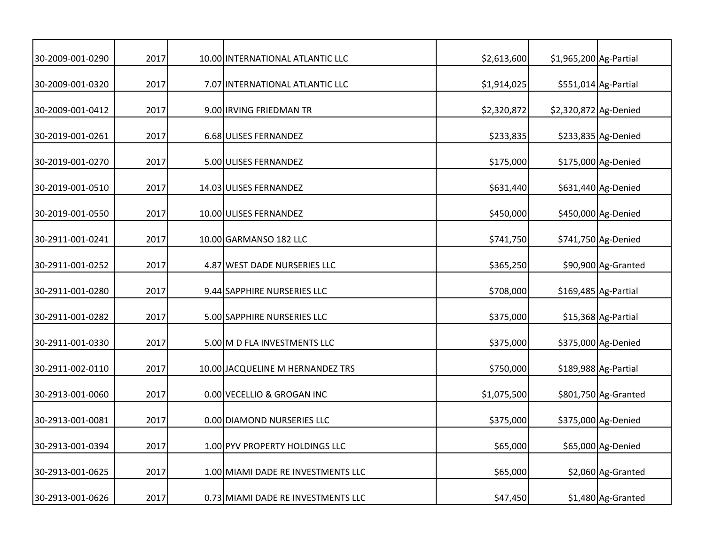| 30-2009-001-0290 | 2017 | 10.00 INTERNATIONAL ATLANTIC LLC   | \$2,613,600 | \$1,965,200 Ag-Partial |                      |
|------------------|------|------------------------------------|-------------|------------------------|----------------------|
| 30-2009-001-0320 | 2017 | 7.07 INTERNATIONAL ATLANTIC LLC    | \$1,914,025 |                        | \$551,014 Ag-Partial |
| 30-2009-001-0412 | 2017 | 9.00 IRVING FRIEDMAN TR            | \$2,320,872 | \$2,320,872 Ag-Denied  |                      |
| 30-2019-001-0261 | 2017 | 6.68 ULISES FERNANDEZ              | \$233,835   |                        | \$233,835 Ag-Denied  |
| 30-2019-001-0270 | 2017 | 5.00 ULISES FERNANDEZ              | \$175,000   |                        | \$175,000 Ag-Denied  |
| 30-2019-001-0510 | 2017 | 14.03 ULISES FERNANDEZ             | \$631,440   |                        | \$631,440 Ag-Denied  |
| 30-2019-001-0550 | 2017 | 10.00 ULISES FERNANDEZ             | \$450,000   |                        | \$450,000 Ag-Denied  |
| 30-2911-001-0241 | 2017 | 10.00 GARMANSO 182 LLC             | \$741,750   |                        | \$741,750 Ag-Denied  |
| 30-2911-001-0252 | 2017 | 4.87 WEST DADE NURSERIES LLC       | \$365,250   |                        | \$90,900 Ag-Granted  |
| 30-2911-001-0280 | 2017 | 9.44 SAPPHIRE NURSERIES LLC        | \$708,000   |                        | \$169,485 Ag-Partial |
| 30-2911-001-0282 | 2017 | 5.00 SAPPHIRE NURSERIES LLC        | \$375,000   |                        | \$15,368 Ag-Partial  |
| 30-2911-001-0330 | 2017 | 5.00 M D FLA INVESTMENTS LLC       | \$375,000   |                        | \$375,000 Ag-Denied  |
| 30-2911-002-0110 | 2017 | 10.00 JACQUELINE M HERNANDEZ TRS   | \$750,000   |                        | \$189,988 Ag-Partial |
| 30-2913-001-0060 | 2017 | 0.00 VECELLIO & GROGAN INC         | \$1,075,500 |                        | \$801,750 Ag-Granted |
| 30-2913-001-0081 | 2017 | 0.00 DIAMOND NURSERIES LLC         | \$375,000   |                        | \$375,000 Ag-Denied  |
| 30-2913-001-0394 | 2017 | 1.00 PYV PROPERTY HOLDINGS LLC     | \$65,000    |                        | \$65,000 Ag-Denied   |
| 30-2913-001-0625 | 2017 | 1.00 MIAMI DADE RE INVESTMENTS LLC | \$65,000    |                        | \$2,060 Ag-Granted   |
| 30-2913-001-0626 | 2017 | 0.73 MIAMI DADE RE INVESTMENTS LLC | \$47,450    |                        | \$1,480 Ag-Granted   |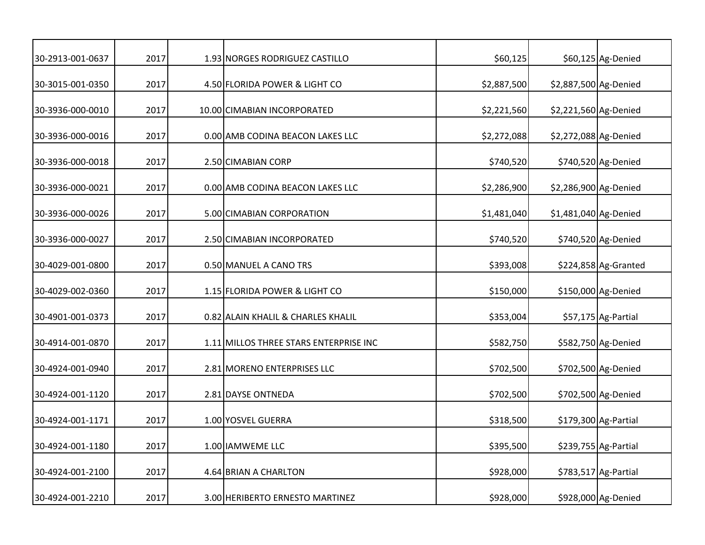| 30-2913-001-0637 | 2017 | 1.93 NORGES RODRIGUEZ CASTILLO         | \$60,125    |                       | \$60,125 Ag-Denied   |
|------------------|------|----------------------------------------|-------------|-----------------------|----------------------|
| 30-3015-001-0350 | 2017 | 4.50 FLORIDA POWER & LIGHT CO          | \$2,887,500 | \$2,887,500 Ag-Denied |                      |
| 30-3936-000-0010 | 2017 | 10.00 CIMABIAN INCORPORATED            | \$2,221,560 | \$2,221,560 Ag-Denied |                      |
| 30-3936-000-0016 | 2017 | 0.00 AMB CODINA BEACON LAKES LLC       | \$2,272,088 | \$2,272,088 Ag-Denied |                      |
| 30-3936-000-0018 | 2017 | 2.50 CIMABIAN CORP                     | \$740,520   |                       | \$740,520 Ag-Denied  |
| 30-3936-000-0021 | 2017 | 0.00 AMB CODINA BEACON LAKES LLC       | \$2,286,900 | \$2,286,900 Ag-Denied |                      |
| 30-3936-000-0026 | 2017 | 5.00 CIMABIAN CORPORATION              | \$1,481,040 | \$1,481,040 Ag-Denied |                      |
| 30-3936-000-0027 | 2017 | 2.50 CIMABIAN INCORPORATED             | \$740,520   |                       | \$740,520 Ag-Denied  |
| 30-4029-001-0800 | 2017 | 0.50 MANUEL A CANO TRS                 | \$393,008   |                       | \$224,858 Ag-Granted |
| 30-4029-002-0360 | 2017 | 1.15 FLORIDA POWER & LIGHT CO          | \$150,000   |                       | \$150,000 Ag-Denied  |
| 30-4901-001-0373 | 2017 | 0.82 ALAIN KHALIL & CHARLES KHALIL     | \$353,004   |                       | $$57,175$ Ag-Partial |
| 30-4914-001-0870 | 2017 | 1.11 MILLOS THREE STARS ENTERPRISE INC | \$582,750   |                       | \$582,750 Ag-Denied  |
| 30-4924-001-0940 | 2017 | 2.81 MORENO ENTERPRISES LLC            | \$702,500   |                       | \$702,500 Ag-Denied  |
| 30-4924-001-1120 | 2017 | 2.81 DAYSE ONTNEDA                     | \$702,500   |                       | \$702,500 Ag-Denied  |
| 30-4924-001-1171 | 2017 | 1.00 YOSVEL GUERRA                     | \$318,500   |                       | \$179,300 Ag-Partial |
| 30-4924-001-1180 | 2017 | 1.00 IAMWEME LLC                       | \$395,500   |                       | \$239,755 Ag-Partial |
| 30-4924-001-2100 | 2017 | 4.64 BRIAN A CHARLTON                  | \$928,000   |                       | \$783,517 Ag-Partial |
| 30-4924-001-2210 | 2017 | 3.00 HERIBERTO ERNESTO MARTINEZ        | \$928,000   |                       | \$928,000 Ag-Denied  |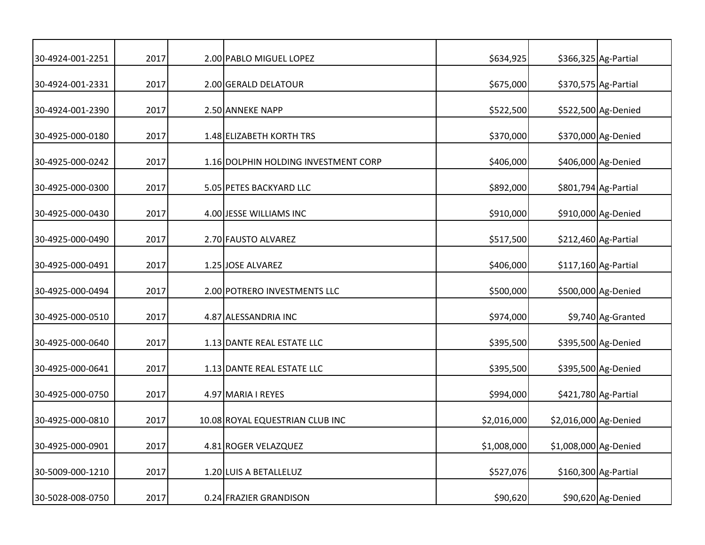| 30-4924-001-2251 | 2017 | 2.00 PABLO MIGUEL LOPEZ              | \$634,925   |                       | \$366,325 Ag-Partial  |
|------------------|------|--------------------------------------|-------------|-----------------------|-----------------------|
| 30-4924-001-2331 | 2017 | 2.00 GERALD DELATOUR                 | \$675,000   |                       | \$370,575 Ag-Partial  |
| 30-4924-001-2390 | 2017 | 2.50 ANNEKE NAPP                     | \$522,500   |                       | \$522,500 Ag-Denied   |
| 30-4925-000-0180 | 2017 | 1.48 ELIZABETH KORTH TRS             | \$370,000   |                       | \$370,000 Ag-Denied   |
| 30-4925-000-0242 | 2017 | 1.16 DOLPHIN HOLDING INVESTMENT CORP | \$406,000   |                       | \$406,000 Ag-Denied   |
| 30-4925-000-0300 | 2017 | 5.05 PETES BACKYARD LLC              | \$892,000   |                       | \$801,794 Ag-Partial  |
| 30-4925-000-0430 | 2017 | 4.00 JESSE WILLIAMS INC              | \$910,000   |                       | \$910,000 Ag-Denied   |
| 30-4925-000-0490 | 2017 | 2.70 FAUSTO ALVAREZ                  | \$517,500   |                       | \$212,460 Ag-Partial  |
| 30-4925-000-0491 | 2017 | 1.25 JOSE ALVAREZ                    | \$406,000   |                       | $$117,160$ Ag-Partial |
| 30-4925-000-0494 | 2017 | 2.00 POTRERO INVESTMENTS LLC         | \$500,000   |                       | \$500,000 Ag-Denied   |
| 30-4925-000-0510 | 2017 | 4.87 ALESSANDRIA INC                 | \$974,000   |                       | \$9,740 Ag-Granted    |
| 30-4925-000-0640 | 2017 | 1.13 DANTE REAL ESTATE LLC           | \$395,500   |                       | \$395,500 Ag-Denied   |
| 30-4925-000-0641 | 2017 | 1.13 DANTE REAL ESTATE LLC           | \$395,500   |                       | \$395,500 Ag-Denied   |
| 30-4925-000-0750 | 2017 | 4.97 MARIA I REYES                   | \$994,000   |                       | \$421,780 Ag-Partial  |
| 30-4925-000-0810 | 2017 | 10.08 ROYAL EQUESTRIAN CLUB INC      | \$2,016,000 | \$2,016,000 Ag-Denied |                       |
| 30-4925-000-0901 | 2017 | 4.81 ROGER VELAZQUEZ                 | \$1,008,000 | \$1,008,000 Ag-Denied |                       |
| 30-5009-000-1210 | 2017 | 1.20 LUIS A BETALLELUZ               | \$527,076   |                       | \$160,300 Ag-Partial  |
| 30-5028-008-0750 | 2017 | 0.24 FRAZIER GRANDISON               | \$90,620    |                       | \$90,620 Ag-Denied    |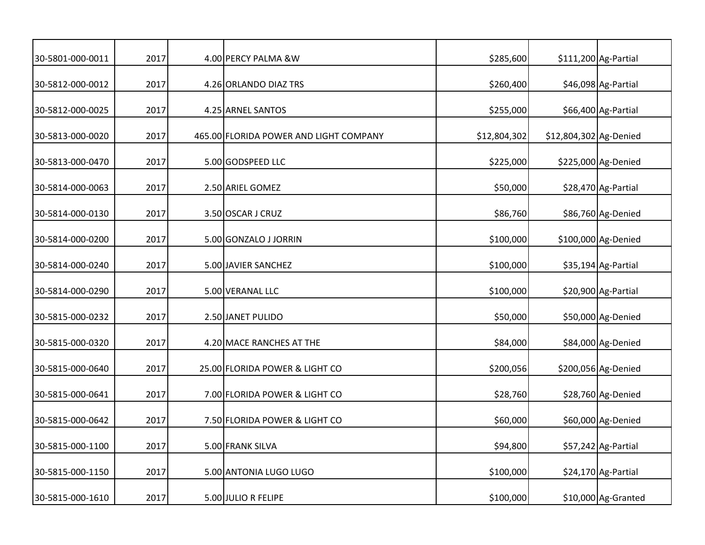| 30-5801-000-0011 | 2017 | 4.00 PERCY PALMA &W                    | \$285,600    |                        | \$111,200 Ag-Partial |
|------------------|------|----------------------------------------|--------------|------------------------|----------------------|
| 30-5812-000-0012 | 2017 | 4.26 ORLANDO DIAZ TRS                  | \$260,400    |                        | \$46,098 Ag-Partial  |
| 30-5812-000-0025 | 2017 | 4.25 ARNEL SANTOS                      | \$255,000    |                        | \$66,400 Ag-Partial  |
| 30-5813-000-0020 | 2017 | 465.00 FLORIDA POWER AND LIGHT COMPANY | \$12,804,302 | \$12,804,302 Ag-Denied |                      |
| 30-5813-000-0470 | 2017 | 5.00 GODSPEED LLC                      | \$225,000    |                        | \$225,000 Ag-Denied  |
| 30-5814-000-0063 | 2017 | 2.50 ARIEL GOMEZ                       | \$50,000     |                        | \$28,470 Ag-Partial  |
| 30-5814-000-0130 | 2017 | 3.50 OSCAR J CRUZ                      | \$86,760     |                        | \$86,760 Ag-Denied   |
| 30-5814-000-0200 | 2017 | 5.00 GONZALO J JORRIN                  | \$100,000    |                        | \$100,000 Ag-Denied  |
| 30-5814-000-0240 | 2017 | 5.00 JAVIER SANCHEZ                    | \$100,000    |                        | \$35,194 Ag-Partial  |
| 30-5814-000-0290 | 2017 | 5.00 VERANAL LLC                       | \$100,000    |                        | \$20,900 Ag-Partial  |
| 30-5815-000-0232 | 2017 | 2.50 JANET PULIDO                      | \$50,000     |                        | \$50,000 Ag-Denied   |
| 30-5815-000-0320 | 2017 | 4.20 MACE RANCHES AT THE               | \$84,000     |                        | \$84,000 Ag-Denied   |
| 30-5815-000-0640 | 2017 | 25.00 FLORIDA POWER & LIGHT CO         | \$200,056    |                        | \$200,056 Ag-Denied  |
| 30-5815-000-0641 | 2017 | 7.00 FLORIDA POWER & LIGHT CO          | \$28,760     |                        | \$28,760 Ag-Denied   |
| 30-5815-000-0642 | 2017 | 7.50 FLORIDA POWER & LIGHT CO          | \$60,000     |                        | \$60,000 Ag-Denied   |
| 30-5815-000-1100 | 2017 | 5.00 FRANK SILVA                       | \$94,800     |                        | \$57,242 Ag-Partial  |
| 30-5815-000-1150 | 2017 | 5.00 ANTONIA LUGO LUGO                 | \$100,000    |                        | \$24,170 Ag-Partial  |
| 30-5815-000-1610 | 2017 | 5.00 JULIO R FELIPE                    | \$100,000    |                        | \$10,000 Ag-Granted  |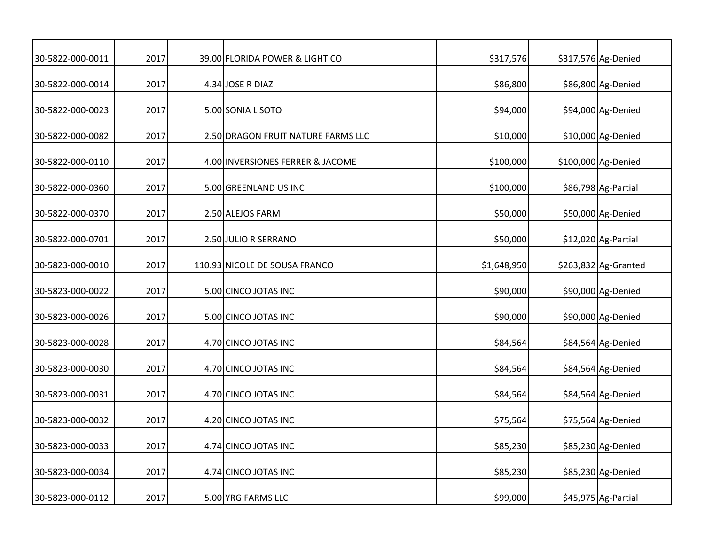| 30-5822-000-0011 | 2017 | 39.00 FLORIDA POWER & LIGHT CO     | \$317,576   | \$317,576 Ag-Denied  |
|------------------|------|------------------------------------|-------------|----------------------|
| 30-5822-000-0014 | 2017 | 4.34 JOSE R DIAZ                   | \$86,800    | \$86,800 Ag-Denied   |
| 30-5822-000-0023 | 2017 | 5.00 SONIA L SOTO                  | \$94,000    | \$94,000 Ag-Denied   |
| 30-5822-000-0082 | 2017 | 2.50 DRAGON FRUIT NATURE FARMS LLC | \$10,000    | \$10,000 Ag-Denied   |
| 30-5822-000-0110 | 2017 | 4.00 INVERSIONES FERRER & JACOME   | \$100,000   | \$100,000 Ag-Denied  |
| 30-5822-000-0360 | 2017 | 5.00 GREENLAND US INC              | \$100,000   | \$86,798 Ag-Partial  |
| 30-5822-000-0370 | 2017 | 2.50 ALEJOS FARM                   | \$50,000    | \$50,000 Ag-Denied   |
| 30-5822-000-0701 | 2017 | 2.50 JULIO R SERRANO               | \$50,000    | \$12,020 Ag-Partial  |
| 30-5823-000-0010 | 2017 | 110.93 NICOLE DE SOUSA FRANCO      | \$1,648,950 | \$263,832 Ag-Granted |
| 30-5823-000-0022 | 2017 | 5.00 CINCO JOTAS INC               | \$90,000    | \$90,000 Ag-Denied   |
| 30-5823-000-0026 | 2017 | 5.00 CINCO JOTAS INC               | \$90,000    | \$90,000 Ag-Denied   |
| 30-5823-000-0028 | 2017 | 4.70 CINCO JOTAS INC               | \$84,564    | \$84,564 Ag-Denied   |
| 30-5823-000-0030 | 2017 | 4.70 CINCO JOTAS INC               | \$84,564    | \$84,564 Ag-Denied   |
| 30-5823-000-0031 | 2017 | 4.70 CINCO JOTAS INC               | \$84,564    | \$84,564 Ag-Denied   |
| 30-5823-000-0032 | 2017 | 4.20 CINCO JOTAS INC               | \$75,564    | \$75,564 Ag-Denied   |
| 30-5823-000-0033 | 2017 | 4.74 CINCO JOTAS INC               | \$85,230    | \$85,230 Ag-Denied   |
| 30-5823-000-0034 | 2017 | 4.74 CINCO JOTAS INC               | \$85,230    | \$85,230 Ag-Denied   |
| 30-5823-000-0112 | 2017 | 5.00 YRG FARMS LLC                 | \$99,000    | \$45,975 Ag-Partial  |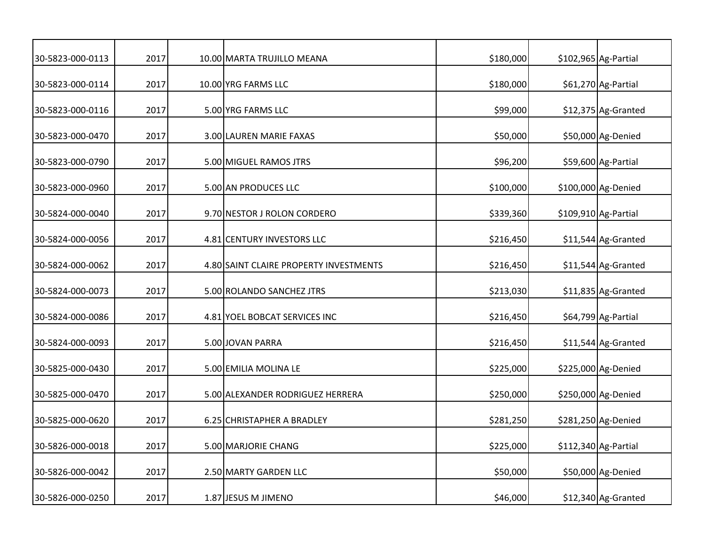| 30-5823-000-0113 | 2017 | 10.00 MARTA TRUJILLO MEANA             | \$180,000 | \$102,965 Ag-Partial |
|------------------|------|----------------------------------------|-----------|----------------------|
| 30-5823-000-0114 | 2017 | 10.00 YRG FARMS LLC                    | \$180,000 | \$61,270 Ag-Partial  |
| 30-5823-000-0116 | 2017 | 5.00 YRG FARMS LLC                     | \$99,000  | \$12,375 Ag-Granted  |
| 30-5823-000-0470 | 2017 | 3.00 LAUREN MARIE FAXAS                | \$50,000  | \$50,000 Ag-Denied   |
| 30-5823-000-0790 | 2017 | 5.00 MIGUEL RAMOS JTRS                 | \$96,200  | \$59,600 Ag-Partial  |
| 30-5823-000-0960 | 2017 | 5.00 AN PRODUCES LLC                   | \$100,000 | \$100,000 Ag-Denied  |
| 30-5824-000-0040 | 2017 | 9.70 NESTOR J ROLON CORDERO            | \$339,360 | \$109,910 Ag-Partial |
| 30-5824-000-0056 | 2017 | 4.81 CENTURY INVESTORS LLC             | \$216,450 | \$11,544 Ag-Granted  |
| 30-5824-000-0062 | 2017 | 4.80 SAINT CLAIRE PROPERTY INVESTMENTS | \$216,450 | \$11,544 Ag-Granted  |
| 30-5824-000-0073 | 2017 | 5.00 ROLANDO SANCHEZ JTRS              | \$213,030 | \$11,835 Ag-Granted  |
| 30-5824-000-0086 | 2017 | 4.81 YOEL BOBCAT SERVICES INC          | \$216,450 | \$64,799 Ag-Partial  |
| 30-5824-000-0093 | 2017 | 5.00 JOVAN PARRA                       | \$216,450 | \$11,544 Ag-Granted  |
| 30-5825-000-0430 | 2017 | 5.00 EMILIA MOLINA LE                  | \$225,000 | \$225,000 Ag-Denied  |
| 30-5825-000-0470 | 2017 | 5.00 ALEXANDER RODRIGUEZ HERRERA       | \$250,000 | \$250,000 Ag-Denied  |
| 30-5825-000-0620 | 2017 | 6.25 CHRISTAPHER A BRADLEY             | \$281,250 | \$281,250 Ag-Denied  |
| 30-5826-000-0018 | 2017 | 5.00 MARJORIE CHANG                    | \$225,000 | \$112,340 Ag-Partial |
| 30-5826-000-0042 | 2017 | 2.50 MARTY GARDEN LLC                  | \$50,000  | \$50,000 Ag-Denied   |
| 30-5826-000-0250 | 2017 | 1.87 JESUS M JIMENO                    | \$46,000  | \$12,340 Ag-Granted  |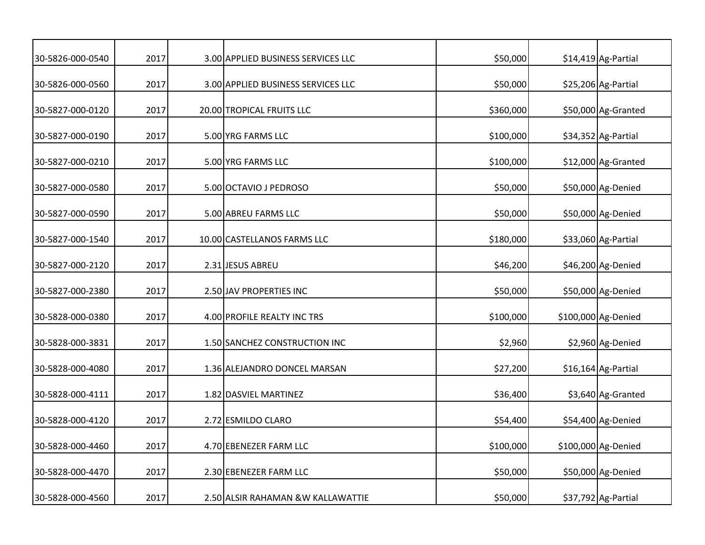| 30-5826-000-0540 | 2017 | 3.00 APPLIED BUSINESS SERVICES LLC | \$50,000  | \$14,419 Ag-Partial |
|------------------|------|------------------------------------|-----------|---------------------|
| 30-5826-000-0560 | 2017 | 3.00 APPLIED BUSINESS SERVICES LLC | \$50,000  | \$25,206 Ag-Partial |
| 30-5827-000-0120 | 2017 | 20.00 TROPICAL FRUITS LLC          | \$360,000 | \$50,000 Ag-Granted |
| 30-5827-000-0190 | 2017 | 5.00 YRG FARMS LLC                 | \$100,000 | \$34,352 Ag-Partial |
| 30-5827-000-0210 | 2017 | 5.00 YRG FARMS LLC                 | \$100,000 | \$12,000 Ag-Granted |
| 30-5827-000-0580 | 2017 | 5.00 OCTAVIO J PEDROSO             | \$50,000  | \$50,000 Ag-Denied  |
| 30-5827-000-0590 | 2017 | 5.00 ABREU FARMS LLC               | \$50,000  | \$50,000 Ag-Denied  |
| 30-5827-000-1540 | 2017 | 10.00 CASTELLANOS FARMS LLC        | \$180,000 | \$33,060 Ag-Partial |
| 30-5827-000-2120 | 2017 | 2.31 JESUS ABREU                   | \$46,200  | \$46,200 Ag-Denied  |
| 30-5827-000-2380 | 2017 | 2.50 JAV PROPERTIES INC            | \$50,000  | \$50,000 Ag-Denied  |
| 30-5828-000-0380 | 2017 | 4.00 PROFILE REALTY INC TRS        | \$100,000 | \$100,000 Ag-Denied |
| 30-5828-000-3831 | 2017 | 1.50 SANCHEZ CONSTRUCTION INC      | \$2,960   | \$2,960 Ag-Denied   |
| 30-5828-000-4080 | 2017 | 1.36 ALEJANDRO DONCEL MARSAN       | \$27,200  | \$16,164 Ag-Partial |
| 30-5828-000-4111 | 2017 | 1.82 DASVIEL MARTINEZ              | \$36,400  | \$3,640 Ag-Granted  |
| 30-5828-000-4120 | 2017 | 2.72 ESMILDO CLARO                 | \$54,400  | \$54,400 Ag-Denied  |
| 30-5828-000-4460 | 2017 | 4.70 EBENEZER FARM LLC             | \$100,000 | \$100,000 Ag-Denied |
| 30-5828-000-4470 | 2017 | 2.30 EBENEZER FARM LLC             | \$50,000  | \$50,000 Ag-Denied  |
| 30-5828-000-4560 | 2017 | 2.50 ALSIR RAHAMAN & W KALLAWATTIE | \$50,000  | \$37,792 Ag-Partial |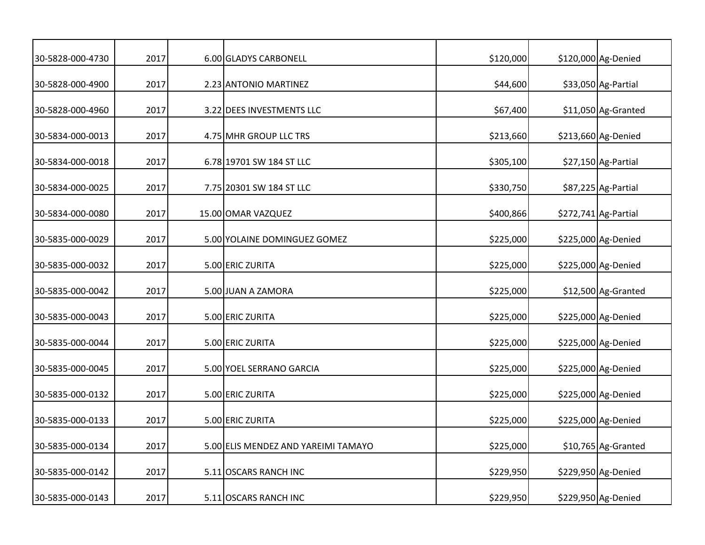| 30-5828-000-4730 | 2017 | 6.00 GLADYS CARBONELL               | \$120,000 | \$120,000 Ag-Denied  |
|------------------|------|-------------------------------------|-----------|----------------------|
| 30-5828-000-4900 | 2017 | 2.23 ANTONIO MARTINEZ               | \$44,600  | \$33,050 Ag-Partial  |
| 30-5828-000-4960 | 2017 | 3.22 DEES INVESTMENTS LLC           | \$67,400  | \$11,050 Ag-Granted  |
| 30-5834-000-0013 | 2017 | 4.75 MHR GROUP LLC TRS              | \$213,660 | \$213,660 Ag-Denied  |
| 30-5834-000-0018 | 2017 | 6.78 19701 SW 184 ST LLC            | \$305,100 | \$27,150 Ag-Partial  |
| 30-5834-000-0025 | 2017 | 7.75 20301 SW 184 ST LLC            | \$330,750 | \$87,225 Ag-Partial  |
| 30-5834-000-0080 | 2017 | 15.00 OMAR VAZQUEZ                  | \$400,866 | \$272,741 Ag-Partial |
| 30-5835-000-0029 | 2017 | 5.00 YOLAINE DOMINGUEZ GOMEZ        | \$225,000 | \$225,000 Ag-Denied  |
| 30-5835-000-0032 | 2017 | 5.00 ERIC ZURITA                    | \$225,000 | \$225,000 Ag-Denied  |
| 30-5835-000-0042 | 2017 | 5.00 JUAN A ZAMORA                  | \$225,000 | \$12,500 Ag-Granted  |
| 30-5835-000-0043 | 2017 | 5.00 ERIC ZURITA                    | \$225,000 | \$225,000 Ag-Denied  |
| 30-5835-000-0044 | 2017 | 5.00 ERIC ZURITA                    | \$225,000 | \$225,000 Ag-Denied  |
| 30-5835-000-0045 | 2017 | 5.00 YOEL SERRANO GARCIA            | \$225,000 | \$225,000 Ag-Denied  |
| 30-5835-000-0132 | 2017 | 5.00 ERIC ZURITA                    | \$225,000 | \$225,000 Ag-Denied  |
| 30-5835-000-0133 | 2017 | 5.00 ERIC ZURITA                    | \$225,000 | \$225,000 Ag-Denied  |
| 30-5835-000-0134 | 2017 | 5.00 ELIS MENDEZ AND YAREIMI TAMAYO | \$225,000 | \$10,765 Ag-Granted  |
| 30-5835-000-0142 | 2017 | 5.11 OSCARS RANCH INC               | \$229,950 | \$229,950 Ag-Denied  |
| 30-5835-000-0143 | 2017 | 5.11 OSCARS RANCH INC               | \$229,950 | \$229,950 Ag-Denied  |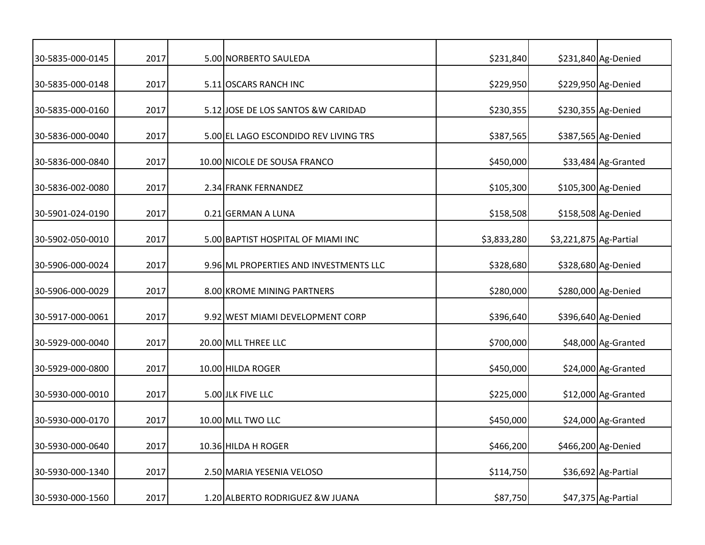| 30-5835-000-0145 | 2017 | 5.00 NORBERTO SAULEDA                  | \$231,840   |                        | \$231,840 Ag-Denied |
|------------------|------|----------------------------------------|-------------|------------------------|---------------------|
| 30-5835-000-0148 | 2017 | 5.11 OSCARS RANCH INC                  | \$229,950   |                        | \$229,950 Ag-Denied |
| 30-5835-000-0160 | 2017 | 5.12 JOSE DE LOS SANTOS & W CARIDAD    | \$230,355   |                        | \$230,355 Ag-Denied |
| 30-5836-000-0040 | 2017 | 5.00 EL LAGO ESCONDIDO REV LIVING TRS  | \$387,565   |                        | \$387,565 Ag-Denied |
| 30-5836-000-0840 | 2017 | 10.00 NICOLE DE SOUSA FRANCO           | \$450,000   |                        | \$33,484 Ag-Granted |
| 30-5836-002-0080 | 2017 | 2.34 FRANK FERNANDEZ                   | \$105,300   |                        | \$105,300 Ag-Denied |
| 30-5901-024-0190 | 2017 | 0.21 GERMAN A LUNA                     | \$158,508   |                        | \$158,508 Ag-Denied |
| 30-5902-050-0010 | 2017 | 5.00 BAPTIST HOSPITAL OF MIAMI INC     | \$3,833,280 | \$3,221,875 Ag-Partial |                     |
| 30-5906-000-0024 | 2017 | 9.96 ML PROPERTIES AND INVESTMENTS LLC | \$328,680   |                        | \$328,680 Ag-Denied |
| 30-5906-000-0029 | 2017 | 8.00 KROME MINING PARTNERS             | \$280,000   |                        | \$280,000 Ag-Denied |
| 30-5917-000-0061 | 2017 | 9.92 WEST MIAMI DEVELOPMENT CORP       | \$396,640   |                        | \$396,640 Ag-Denied |
| 30-5929-000-0040 | 2017 | 20.00 MLL THREE LLC                    | \$700,000   |                        | \$48,000 Ag-Granted |
| 30-5929-000-0800 | 2017 | 10.00 HILDA ROGER                      | \$450,000   |                        | \$24,000 Ag-Granted |
| 30-5930-000-0010 | 2017 | 5.00 JLK FIVE LLC                      | \$225,000   |                        | \$12,000 Ag-Granted |
| 30-5930-000-0170 | 2017 | 10.00 MLL TWO LLC                      | \$450,000   |                        | \$24,000 Ag-Granted |
| 30-5930-000-0640 | 2017 | 10.36 HILDA H ROGER                    | \$466,200   |                        | \$466,200 Ag-Denied |
| 30-5930-000-1340 | 2017 | 2.50 MARIA YESENIA VELOSO              | \$114,750   |                        | \$36,692 Ag-Partial |
| 30-5930-000-1560 | 2017 | 1.20 ALBERTO RODRIGUEZ & W JUANA       | \$87,750    |                        | \$47,375 Ag-Partial |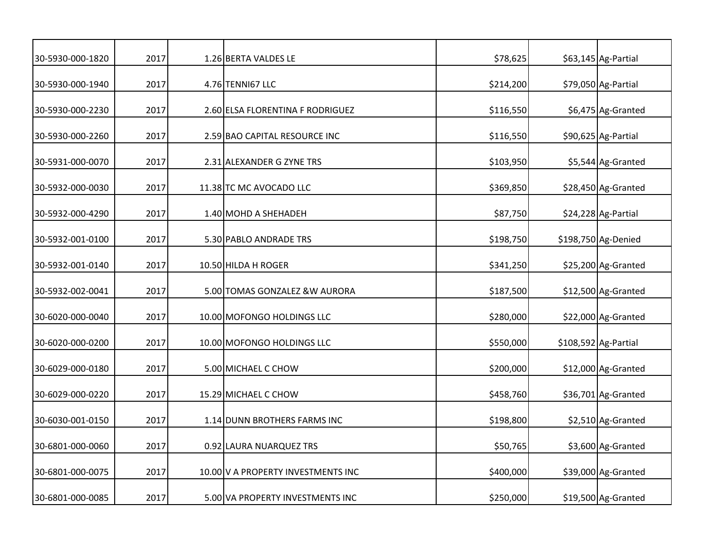| 30-5930-000-1820 | 2017 | 1.26 BERTA VALDES LE               | \$78,625  | \$63,145 Ag-Partial  |
|------------------|------|------------------------------------|-----------|----------------------|
| 30-5930-000-1940 | 2017 | 4.76 TENNI67 LLC                   | \$214,200 | \$79,050 Ag-Partial  |
| 30-5930-000-2230 | 2017 | 2.60 ELSA FLORENTINA F RODRIGUEZ   | \$116,550 | \$6,475 Ag-Granted   |
| 30-5930-000-2260 | 2017 | 2.59 BAO CAPITAL RESOURCE INC      | \$116,550 | \$90,625 Ag-Partial  |
| 30-5931-000-0070 | 2017 | 2.31 ALEXANDER G ZYNE TRS          | \$103,950 | \$5,544 Ag-Granted   |
| 30-5932-000-0030 | 2017 | 11.38 TC MC AVOCADO LLC            | \$369,850 | \$28,450 Ag-Granted  |
| 30-5932-000-4290 | 2017 | 1.40 MOHD A SHEHADEH               | \$87,750  | \$24,228 Ag-Partial  |
| 30-5932-001-0100 | 2017 | 5.30 PABLO ANDRADE TRS             | \$198,750 | \$198,750 Ag-Denied  |
| 30-5932-001-0140 | 2017 | 10.50 HILDA H ROGER                | \$341,250 | \$25,200 Ag-Granted  |
| 30-5932-002-0041 | 2017 | 5.00 TOMAS GONZALEZ & W AURORA     | \$187,500 | \$12,500 Ag-Granted  |
| 30-6020-000-0040 | 2017 | 10.00 MOFONGO HOLDINGS LLC         | \$280,000 | \$22,000 Ag-Granted  |
| 30-6020-000-0200 | 2017 | 10.00 MOFONGO HOLDINGS LLC         | \$550,000 | \$108,592 Ag-Partial |
| 30-6029-000-0180 | 2017 | 5.00 MICHAEL C CHOW                | \$200,000 | \$12,000 Ag-Granted  |
| 30-6029-000-0220 | 2017 | 15.29 MICHAEL C CHOW               | \$458,760 | \$36,701 Ag-Granted  |
| 30-6030-001-0150 | 2017 | 1.14 DUNN BROTHERS FARMS INC       | \$198,800 | \$2,510 Ag-Granted   |
| 30-6801-000-0060 | 2017 | 0.92 LAURA NUARQUEZ TRS            | \$50,765  | \$3,600 Ag-Granted   |
| 30-6801-000-0075 | 2017 | 10.00 V A PROPERTY INVESTMENTS INC | \$400,000 | \$39,000 Ag-Granted  |
| 30-6801-000-0085 | 2017 | 5.00 VA PROPERTY INVESTMENTS INC   | \$250,000 | \$19,500 Ag-Granted  |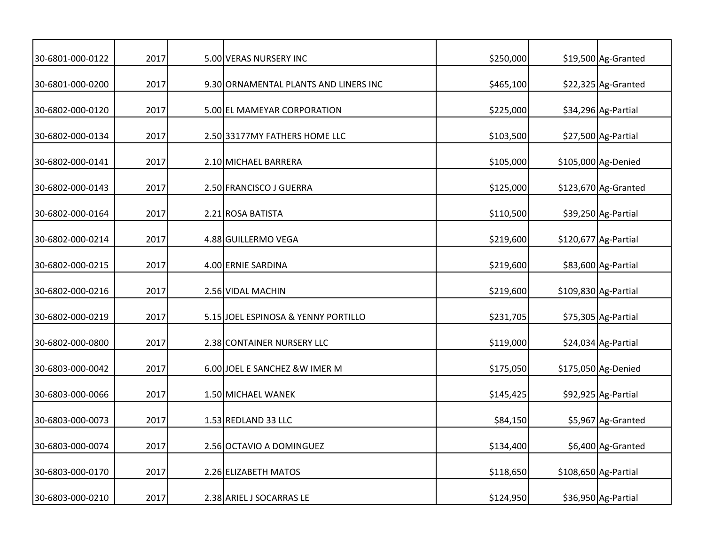| 30-6801-000-0122 | 2017 | 5.00 VERAS NURSERY INC                | \$250,000 | \$19,500 Ag-Granted   |
|------------------|------|---------------------------------------|-----------|-----------------------|
| 30-6801-000-0200 | 2017 | 9.30 ORNAMENTAL PLANTS AND LINERS INC | \$465,100 | \$22,325 Ag-Granted   |
| 30-6802-000-0120 | 2017 | 5.00 EL MAMEYAR CORPORATION           | \$225,000 | \$34,296 Ag-Partial   |
| 30-6802-000-0134 | 2017 | 2.50 33177MY FATHERS HOME LLC         | \$103,500 | \$27,500 Ag-Partial   |
| 30-6802-000-0141 | 2017 | 2.10 MICHAEL BARRERA                  | \$105,000 | \$105,000 Ag-Denied   |
| 30-6802-000-0143 | 2017 | 2.50 FRANCISCO J GUERRA               | \$125,000 | $$123,670$ Ag-Granted |
| 30-6802-000-0164 | 2017 | 2.21 ROSA BATISTA                     | \$110,500 | \$39,250 Ag-Partial   |
| 30-6802-000-0214 | 2017 | 4.88 GUILLERMO VEGA                   | \$219,600 | \$120,677 Ag-Partial  |
| 30-6802-000-0215 | 2017 | 4.00 ERNIE SARDINA                    | \$219,600 | \$83,600 Ag-Partial   |
| 30-6802-000-0216 | 2017 | 2.56 VIDAL MACHIN                     | \$219,600 | \$109,830 Ag-Partial  |
| 30-6802-000-0219 | 2017 | 5.15 JOEL ESPINOSA & YENNY PORTILLO   | \$231,705 | \$75,305 Ag-Partial   |
| 30-6802-000-0800 | 2017 | 2.38 CONTAINER NURSERY LLC            | \$119,000 | \$24,034 Ag-Partial   |
| 30-6803-000-0042 | 2017 | 6.00 JOEL E SANCHEZ & W IMER M        | \$175,050 | \$175,050 Ag-Denied   |
| 30-6803-000-0066 | 2017 | 1.50 MICHAEL WANEK                    | \$145,425 | \$92,925 Ag-Partial   |
| 30-6803-000-0073 | 2017 | 1.53 REDLAND 33 LLC                   | \$84,150  | \$5,967 Ag-Granted    |
| 30-6803-000-0074 | 2017 | 2.56 OCTAVIO A DOMINGUEZ              | \$134,400 | \$6,400 Ag-Granted    |
| 30-6803-000-0170 | 2017 | 2.26 ELIZABETH MATOS                  | \$118,650 | \$108,650 Ag-Partial  |
| 30-6803-000-0210 | 2017 | 2.38 ARIEL J SOCARRAS LE              | \$124,950 | \$36,950 Ag-Partial   |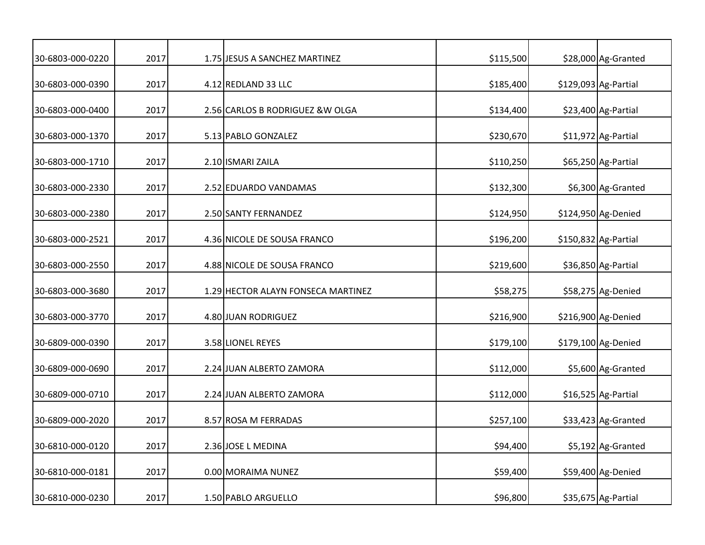| 30-6803-000-0220 | 2017 | 1.75 JESUS A SANCHEZ MARTINEZ      | \$115,500 | \$28,000 Ag-Granted  |
|------------------|------|------------------------------------|-----------|----------------------|
| 30-6803-000-0390 | 2017 | 4.12 REDLAND 33 LLC                | \$185,400 | \$129,093 Ag-Partial |
| 30-6803-000-0400 | 2017 | 2.56 CARLOS B RODRIGUEZ & W OLGA   | \$134,400 | \$23,400 Ag-Partial  |
| 30-6803-000-1370 | 2017 | 5.13 PABLO GONZALEZ                | \$230,670 | \$11,972 Ag-Partial  |
| 30-6803-000-1710 | 2017 | 2.10 ISMARI ZAILA                  | \$110,250 | \$65,250 Ag-Partial  |
| 30-6803-000-2330 | 2017 | 2.52 EDUARDO VANDAMAS              | \$132,300 | \$6,300 Ag-Granted   |
| 30-6803-000-2380 | 2017 | 2.50 SANTY FERNANDEZ               | \$124,950 | \$124,950 Ag-Denied  |
| 30-6803-000-2521 | 2017 | 4.36 NICOLE DE SOUSA FRANCO        | \$196,200 | \$150,832 Ag-Partial |
| 30-6803-000-2550 | 2017 | 4.88 NICOLE DE SOUSA FRANCO        | \$219,600 | \$36,850 Ag-Partial  |
| 30-6803-000-3680 | 2017 | 1.29 HECTOR ALAYN FONSECA MARTINEZ | \$58,275  | \$58,275 Ag-Denied   |
| 30-6803-000-3770 | 2017 | 4.80 JUAN RODRIGUEZ                | \$216,900 | \$216,900 Ag-Denied  |
| 30-6809-000-0390 | 2017 | 3.58 LIONEL REYES                  | \$179,100 | \$179,100 Ag-Denied  |
| 30-6809-000-0690 | 2017 | 2.24 JUAN ALBERTO ZAMORA           | \$112,000 | \$5,600 Ag-Granted   |
| 30-6809-000-0710 | 2017 | 2.24 JUAN ALBERTO ZAMORA           | \$112,000 | \$16,525 Ag-Partial  |
| 30-6809-000-2020 | 2017 | 8.57 ROSA M FERRADAS               | \$257,100 | \$33,423 Ag-Granted  |
| 30-6810-000-0120 | 2017 | 2.36 JOSE L MEDINA                 | \$94,400  | \$5,192 Ag-Granted   |
| 30-6810-000-0181 | 2017 | 0.00 MORAIMA NUNEZ                 | \$59,400  | \$59,400 Ag-Denied   |
| 30-6810-000-0230 | 2017 | 1.50 PABLO ARGUELLO                | \$96,800  | \$35,675 Ag-Partial  |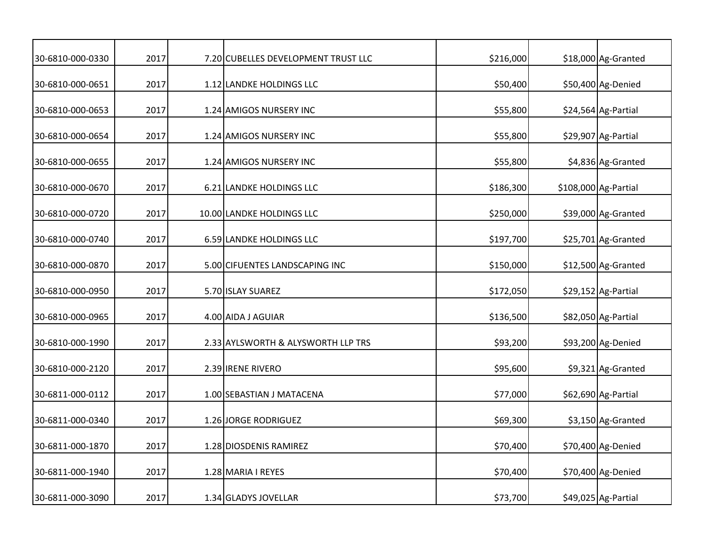| 30-6810-000-0330 | 2017 | 7.20 CUBELLES DEVELOPMENT TRUST LLC | \$216,000 | \$18,000 Ag-Granted  |
|------------------|------|-------------------------------------|-----------|----------------------|
| 30-6810-000-0651 | 2017 | 1.12 LANDKE HOLDINGS LLC            | \$50,400  | \$50,400 Ag-Denied   |
| 30-6810-000-0653 | 2017 | 1.24 AMIGOS NURSERY INC             | \$55,800  | \$24,564 Ag-Partial  |
| 30-6810-000-0654 | 2017 | 1.24 AMIGOS NURSERY INC             | \$55,800  | \$29,907 Ag-Partial  |
| 30-6810-000-0655 | 2017 | 1.24 AMIGOS NURSERY INC             | \$55,800  | \$4,836 Ag-Granted   |
| 30-6810-000-0670 | 2017 | 6.21 LANDKE HOLDINGS LLC            | \$186,300 | \$108,000 Ag-Partial |
| 30-6810-000-0720 | 2017 | 10.00 LANDKE HOLDINGS LLC           | \$250,000 | \$39,000 Ag-Granted  |
| 30-6810-000-0740 | 2017 | 6.59 LANDKE HOLDINGS LLC            | \$197,700 | \$25,701 Ag-Granted  |
| 30-6810-000-0870 | 2017 | 5.00 CIFUENTES LANDSCAPING INC      | \$150,000 | \$12,500 Ag-Granted  |
| 30-6810-000-0950 | 2017 | 5.70 ISLAY SUAREZ                   | \$172,050 | \$29,152 Ag-Partial  |
| 30-6810-000-0965 | 2017 | 4.00 AIDA J AGUIAR                  | \$136,500 | \$82,050 Ag-Partial  |
| 30-6810-000-1990 | 2017 | 2.33 AYLSWORTH & ALYSWORTH LLP TRS  | \$93,200  | \$93,200 Ag-Denied   |
| 30-6810-000-2120 | 2017 | 2.39 IRENE RIVERO                   | \$95,600  | \$9,321 Ag-Granted   |
| 30-6811-000-0112 | 2017 | 1.00 SEBASTIAN J MATACENA           | \$77,000  | \$62,690 Ag-Partial  |
| 30-6811-000-0340 | 2017 | 1.26 JORGE RODRIGUEZ                | \$69,300  | \$3,150 Ag-Granted   |
| 30-6811-000-1870 | 2017 | 1.28 DIOSDENIS RAMIREZ              | \$70,400  | \$70,400 Ag-Denied   |
| 30-6811-000-1940 | 2017 | 1.28 MARIA I REYES                  | \$70,400  | \$70,400 Ag-Denied   |
| 30-6811-000-3090 | 2017 | 1.34 GLADYS JOVELLAR                | \$73,700  | \$49,025 Ag-Partial  |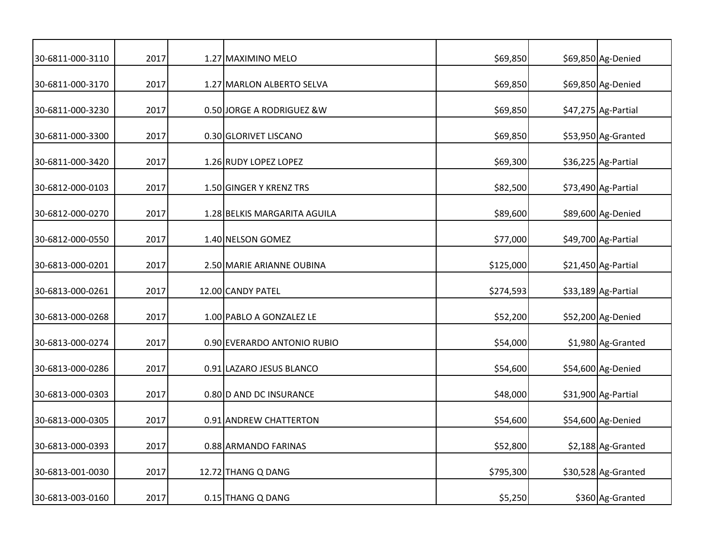| 30-6811-000-3110 | 2017 | 1.27 MAXIMINO MELO           | \$69,850  | \$69,850 Ag-Denied  |
|------------------|------|------------------------------|-----------|---------------------|
| 30-6811-000-3170 | 2017 | 1.27 MARLON ALBERTO SELVA    | \$69,850  | \$69,850 Ag-Denied  |
| 30-6811-000-3230 | 2017 | 0.50 JORGE A RODRIGUEZ & W   | \$69,850  | \$47,275 Ag-Partial |
| 30-6811-000-3300 | 2017 | 0.30 GLORIVET LISCANO        | \$69,850  | \$53,950 Ag-Granted |
| 30-6811-000-3420 | 2017 | 1.26 RUDY LOPEZ LOPEZ        | \$69,300  | \$36,225 Ag-Partial |
| 30-6812-000-0103 | 2017 | 1.50 GINGER Y KRENZ TRS      | \$82,500  | \$73,490 Ag-Partial |
| 30-6812-000-0270 | 2017 | 1.28 BELKIS MARGARITA AGUILA | \$89,600  | \$89,600 Ag-Denied  |
| 30-6812-000-0550 | 2017 | 1.40 NELSON GOMEZ            | \$77,000  | \$49,700 Ag-Partial |
| 30-6813-000-0201 | 2017 | 2.50 MARIE ARIANNE OUBINA    | \$125,000 | \$21,450 Ag-Partial |
| 30-6813-000-0261 | 2017 | 12.00 CANDY PATEL            | \$274,593 | \$33,189 Ag-Partial |
| 30-6813-000-0268 | 2017 | 1.00 PABLO A GONZALEZ LE     | \$52,200  | \$52,200 Ag-Denied  |
| 30-6813-000-0274 | 2017 | 0.90 EVERARDO ANTONIO RUBIO  | \$54,000  | \$1,980 Ag-Granted  |
| 30-6813-000-0286 | 2017 | 0.91 LAZARO JESUS BLANCO     | \$54,600  | \$54,600 Ag-Denied  |
| 30-6813-000-0303 | 2017 | 0.80 D AND DC INSURANCE      | \$48,000  | \$31,900 Ag-Partial |
| 30-6813-000-0305 | 2017 | 0.91 ANDREW CHATTERTON       | \$54,600  | \$54,600 Ag-Denied  |
| 30-6813-000-0393 | 2017 | 0.88 ARMANDO FARINAS         | \$52,800  | \$2,188 Ag-Granted  |
| 30-6813-001-0030 | 2017 | 12.72 THANG Q DANG           | \$795,300 | \$30,528 Ag-Granted |
| 30-6813-003-0160 | 2017 | 0.15 THANG Q DANG            | \$5,250   | \$360 Ag-Granted    |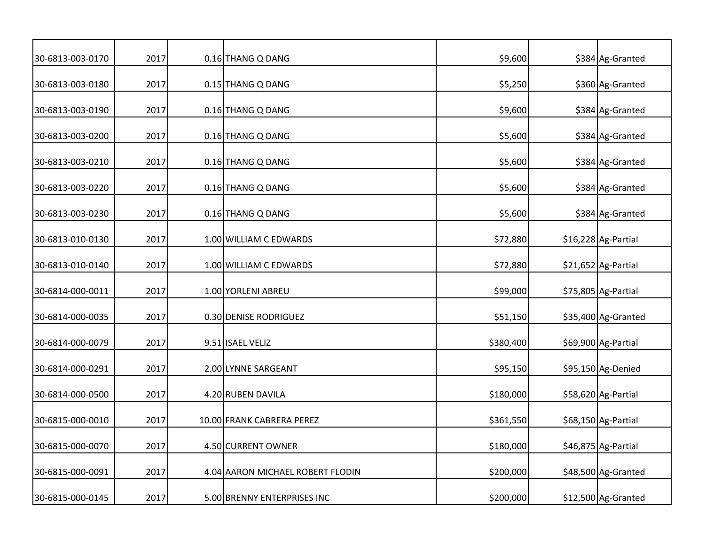| 30-6813-003-0170 | 2017 | 0.16 THANG Q DANG                | \$9,600   | \$384 Ag-Granted    |
|------------------|------|----------------------------------|-----------|---------------------|
| 30-6813-003-0180 | 2017 | 0.15 THANG Q DANG                | \$5,250   | \$360 Ag-Granted    |
| 30-6813-003-0190 | 2017 | 0.16 THANG Q DANG                | \$9,600   | \$384 Ag-Granted    |
| 30-6813-003-0200 | 2017 | 0.16 THANG Q DANG                | \$5,600   | \$384 Ag-Granted    |
| 30-6813-003-0210 | 2017 | 0.16 THANG Q DANG                | \$5,600   | \$384 Ag-Granted    |
| 30-6813-003-0220 | 2017 | 0.16 THANG Q DANG                | \$5,600   | \$384 Ag-Granted    |
| 30-6813-003-0230 | 2017 | 0.16 THANG Q DANG                | \$5,600   | \$384 Ag-Granted    |
| 30-6813-010-0130 | 2017 | 1.00 WILLIAM C EDWARDS           | \$72,880  | \$16,228 Ag-Partial |
| 30-6813-010-0140 | 2017 | 1.00 WILLIAM C EDWARDS           | \$72,880  | \$21,652 Ag-Partial |
| 30-6814-000-0011 | 2017 | 1.00 YORLENI ABREU               | \$99,000  | \$75,805 Ag-Partial |
| 30-6814-000-0035 | 2017 | 0.30 DENISE RODRIGUEZ            | \$51,150  | \$35,400 Ag-Granted |
| 30-6814-000-0079 | 2017 | 9.51 ISAEL VELIZ                 | \$380,400 | \$69,900 Ag-Partial |
| 30-6814-000-0291 | 2017 | 2.00 LYNNE SARGEANT              | \$95,150  | \$95,150 Ag-Denied  |
| 30-6814-000-0500 | 2017 | 4.20 RUBEN DAVILA                | \$180,000 | \$58,620 Ag-Partial |
| 30-6815-000-0010 | 2017 | 10.00 FRANK CABRERA PEREZ        | \$361,550 | \$68,150 Ag-Partial |
| 30-6815-000-0070 | 2017 | 4.50 CURRENT OWNER               | \$180,000 | \$46,875 Ag-Partial |
| 30-6815-000-0091 | 2017 | 4.04 AARON MICHAEL ROBERT FLODIN | \$200,000 | \$48,500 Ag-Granted |
| 30-6815-000-0145 | 2017 | 5.00 BRENNY ENTERPRISES INC      | \$200,000 | \$12,500 Ag-Granted |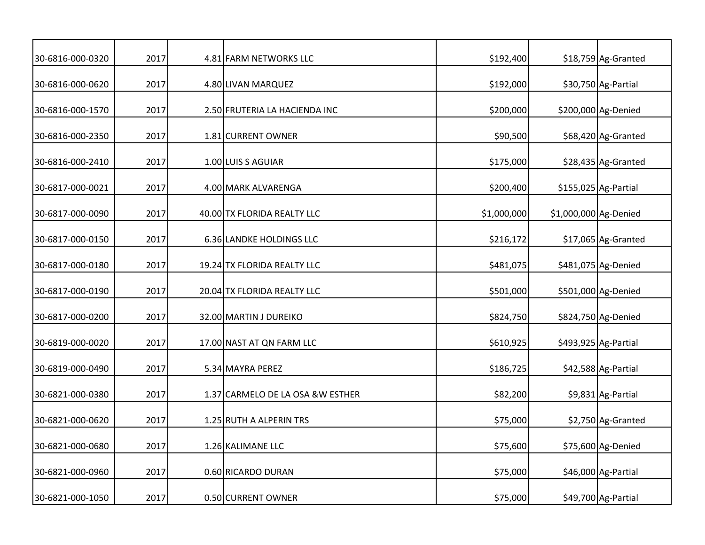| 30-6816-000-0320 | 2017 | 4.81 FARM NETWORKS LLC            | \$192,400   |                       | \$18,759 Ag-Granted  |
|------------------|------|-----------------------------------|-------------|-----------------------|----------------------|
| 30-6816-000-0620 | 2017 | 4.80 LIVAN MARQUEZ                | \$192,000   |                       | \$30,750 Ag-Partial  |
| 30-6816-000-1570 | 2017 | 2.50 FRUTERIA LA HACIENDA INC     | \$200,000   |                       | \$200,000 Ag-Denied  |
| 30-6816-000-2350 | 2017 | 1.81 CURRENT OWNER                | \$90,500    |                       | \$68,420 Ag-Granted  |
| 30-6816-000-2410 | 2017 | 1.00 LUIS S AGUIAR                | \$175,000   |                       | \$28,435 Ag-Granted  |
| 30-6817-000-0021 | 2017 | 4.00 MARK ALVARENGA               | \$200,400   |                       | \$155,025 Ag-Partial |
| 30-6817-000-0090 | 2017 | 40.00 TX FLORIDA REALTY LLC       | \$1,000,000 | \$1,000,000 Ag-Denied |                      |
| 30-6817-000-0150 | 2017 | 6.36 LANDKE HOLDINGS LLC          | \$216,172   |                       | \$17,065 Ag-Granted  |
| 30-6817-000-0180 | 2017 | 19.24 TX FLORIDA REALTY LLC       | \$481,075   |                       | \$481,075 Ag-Denied  |
| 30-6817-000-0190 | 2017 | 20.04 TX FLORIDA REALTY LLC       | \$501,000   |                       | \$501,000 Ag-Denied  |
| 30-6817-000-0200 | 2017 | 32.00 MARTIN J DUREIKO            | \$824,750   |                       | \$824,750 Ag-Denied  |
| 30-6819-000-0020 | 2017 | 17.00 NAST AT QN FARM LLC         | \$610,925   |                       | \$493,925 Ag-Partial |
| 30-6819-000-0490 | 2017 | 5.34 MAYRA PEREZ                  | \$186,725   |                       | \$42,588 Ag-Partial  |
| 30-6821-000-0380 | 2017 | 1.37 CARMELO DE LA OSA & W ESTHER | \$82,200    |                       | \$9,831 Ag-Partial   |
| 30-6821-000-0620 | 2017 | 1.25 RUTH A ALPERIN TRS           | \$75,000    |                       | \$2,750 Ag-Granted   |
| 30-6821-000-0680 | 2017 | 1.26 KALIMANE LLC                 | \$75,600    |                       | \$75,600 Ag-Denied   |
| 30-6821-000-0960 | 2017 | 0.60 RICARDO DURAN                | \$75,000    |                       | \$46,000 Ag-Partial  |
| 30-6821-000-1050 | 2017 | 0.50 CURRENT OWNER                | \$75,000    |                       | \$49,700 Ag-Partial  |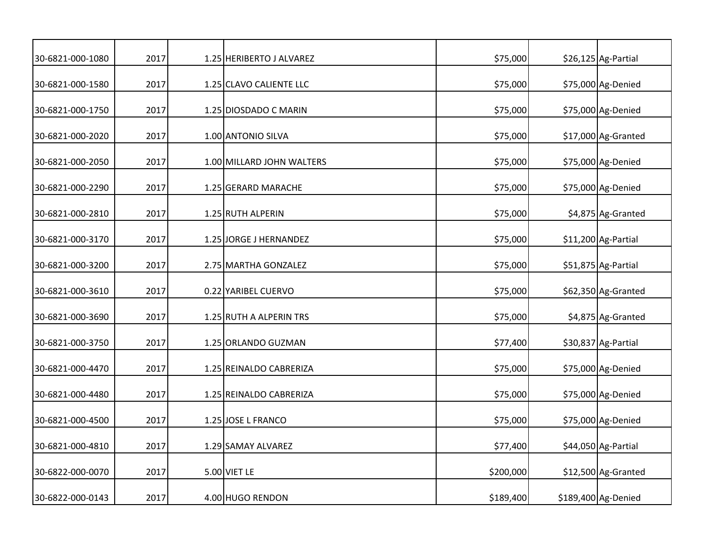| 30-6821-000-1080 | 2017 | 1.25 HERIBERTO J ALVAREZ  | \$75,000  | \$26,125 Ag-Partial |
|------------------|------|---------------------------|-----------|---------------------|
| 30-6821-000-1580 | 2017 | 1.25 CLAVO CALIENTE LLC   | \$75,000  | \$75,000 Ag-Denied  |
| 30-6821-000-1750 | 2017 | 1.25 DIOSDADO C MARIN     | \$75,000  | \$75,000 Ag-Denied  |
| 30-6821-000-2020 | 2017 | 1.00 ANTONIO SILVA        | \$75,000  | \$17,000 Ag-Granted |
| 30-6821-000-2050 | 2017 | 1.00 MILLARD JOHN WALTERS | \$75,000  | \$75,000 Ag-Denied  |
| 30-6821-000-2290 | 2017 | 1.25 GERARD MARACHE       | \$75,000  | \$75,000 Ag-Denied  |
| 30-6821-000-2810 | 2017 | 1.25 RUTH ALPERIN         | \$75,000  | \$4,875 Ag-Granted  |
| 30-6821-000-3170 | 2017 | 1.25 JORGE J HERNANDEZ    | \$75,000  | \$11,200 Ag-Partial |
| 30-6821-000-3200 | 2017 | 2.75 MARTHA GONZALEZ      | \$75,000  | \$51,875 Ag-Partial |
| 30-6821-000-3610 | 2017 | 0.22 YARIBEL CUERVO       | \$75,000  | \$62,350 Ag-Granted |
| 30-6821-000-3690 | 2017 | 1.25 RUTH A ALPERIN TRS   | \$75,000  | \$4,875 Ag-Granted  |
| 30-6821-000-3750 | 2017 | 1.25 ORLANDO GUZMAN       | \$77,400  | \$30,837 Ag-Partial |
| 30-6821-000-4470 | 2017 | 1.25 REINALDO CABRERIZA   | \$75,000  | \$75,000 Ag-Denied  |
| 30-6821-000-4480 | 2017 | 1.25 REINALDO CABRERIZA   | \$75,000  | \$75,000 Ag-Denied  |
| 30-6821-000-4500 | 2017 | 1.25 JOSE L FRANCO        | \$75,000  | \$75,000 Ag-Denied  |
| 30-6821-000-4810 | 2017 | 1.29 SAMAY ALVAREZ        | \$77,400  | \$44,050 Ag-Partial |
| 30-6822-000-0070 | 2017 | 5.00 VIET LE              | \$200,000 | \$12,500 Ag-Granted |
| 30-6822-000-0143 | 2017 | 4.00 HUGO RENDON          | \$189,400 | \$189,400 Ag-Denied |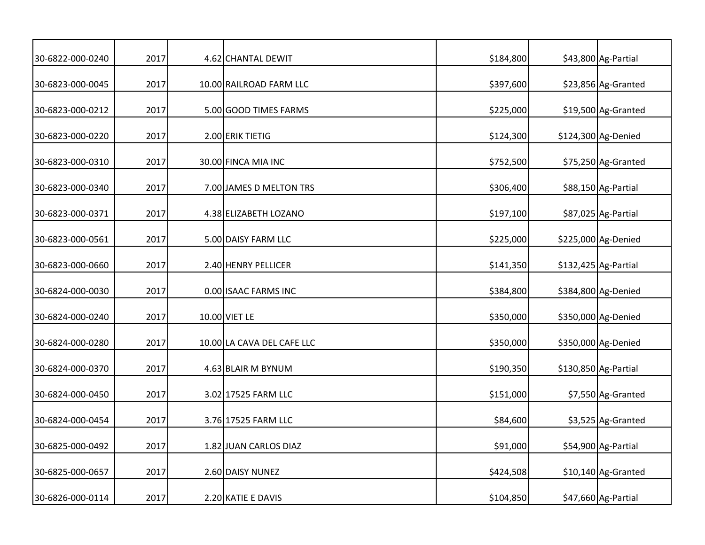| 30-6822-000-0240 | 2017 | 4.62 CHANTAL DEWIT         | \$184,800 | \$43,800 Ag-Partial  |
|------------------|------|----------------------------|-----------|----------------------|
| 30-6823-000-0045 | 2017 | 10.00 RAILROAD FARM LLC    | \$397,600 | \$23,856 Ag-Granted  |
| 30-6823-000-0212 | 2017 | 5.00 GOOD TIMES FARMS      | \$225,000 | \$19,500 Ag-Granted  |
| 30-6823-000-0220 | 2017 | 2.00 ERIK TIETIG           | \$124,300 | \$124,300 Ag-Denied  |
| 30-6823-000-0310 | 2017 | 30.00 FINCA MIA INC        | \$752,500 | \$75,250 Ag-Granted  |
| 30-6823-000-0340 | 2017 | 7.00 JAMES D MELTON TRS    | \$306,400 | \$88,150 Ag-Partial  |
| 30-6823-000-0371 | 2017 | 4.38 ELIZABETH LOZANO      | \$197,100 | \$87,025 Ag-Partial  |
| 30-6823-000-0561 | 2017 | 5.00 DAISY FARM LLC        | \$225,000 | \$225,000 Ag-Denied  |
| 30-6823-000-0660 | 2017 | 2.40 HENRY PELLICER        | \$141,350 | \$132,425 Ag-Partial |
| 30-6824-000-0030 | 2017 | 0.00 ISAAC FARMS INC       | \$384,800 | \$384,800 Ag-Denied  |
| 30-6824-000-0240 | 2017 | 10.00 VIET LE              | \$350,000 | \$350,000 Ag-Denied  |
| 30-6824-000-0280 | 2017 | 10.00 LA CAVA DEL CAFE LLC | \$350,000 | \$350,000 Ag-Denied  |
| 30-6824-000-0370 | 2017 | 4.63 BLAIR M BYNUM         | \$190,350 | \$130,850 Ag-Partial |
| 30-6824-000-0450 | 2017 | 3.02 17525 FARM LLC        | \$151,000 | \$7,550 Ag-Granted   |
| 30-6824-000-0454 | 2017 | 3.76 17525 FARM LLC        | \$84,600  | \$3,525 Ag-Granted   |
| 30-6825-000-0492 | 2017 | 1.82 JUAN CARLOS DIAZ      | \$91,000  | \$54,900 Ag-Partial  |
| 30-6825-000-0657 | 2017 | 2.60 DAISY NUNEZ           | \$424,508 | \$10,140 Ag-Granted  |
| 30-6826-000-0114 | 2017 | 2.20 KATIE E DAVIS         | \$104,850 | \$47,660 Ag-Partial  |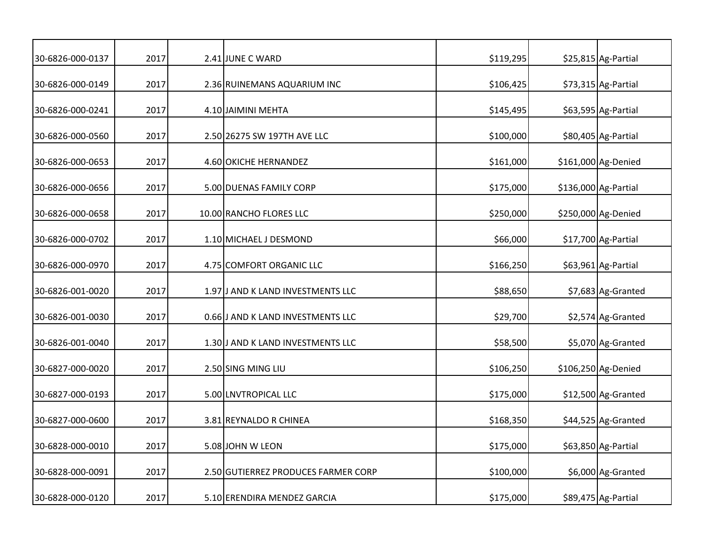| 30-6826-000-0137 | 2017 | 2.41 JUNE C WARD                    | \$119,295 | \$25,815 Ag-Partial  |
|------------------|------|-------------------------------------|-----------|----------------------|
| 30-6826-000-0149 | 2017 | 2.36 RUINEMANS AQUARIUM INC         | \$106,425 | \$73,315 Ag-Partial  |
| 30-6826-000-0241 | 2017 | 4.10 JAIMINI MEHTA                  | \$145,495 | \$63,595 Ag-Partial  |
| 30-6826-000-0560 | 2017 | 2.50 26275 SW 197TH AVE LLC         | \$100,000 | \$80,405 Ag-Partial  |
| 30-6826-000-0653 | 2017 | 4.60 OKICHE HERNANDEZ               | \$161,000 | \$161,000 Ag-Denied  |
| 30-6826-000-0656 | 2017 | 5.00 DUENAS FAMILY CORP             | \$175,000 | \$136,000 Ag-Partial |
| 30-6826-000-0658 | 2017 | 10.00 RANCHO FLORES LLC             | \$250,000 | \$250,000 Ag-Denied  |
| 30-6826-000-0702 | 2017 | 1.10 MICHAEL J DESMOND              | \$66,000  | \$17,700 Ag-Partial  |
| 30-6826-000-0970 | 2017 | 4.75 COMFORT ORGANIC LLC            | \$166,250 | \$63,961 Ag-Partial  |
| 30-6826-001-0020 | 2017 | 1.97 J AND K LAND INVESTMENTS LLC   | \$88,650  | \$7,683 Ag-Granted   |
| 30-6826-001-0030 | 2017 | 0.66 J AND K LAND INVESTMENTS LLC   | \$29,700  | \$2,574 Ag-Granted   |
| 30-6826-001-0040 | 2017 | 1.30 J AND K LAND INVESTMENTS LLC   | \$58,500  | \$5,070 Ag-Granted   |
| 30-6827-000-0020 | 2017 | 2.50 SING MING LIU                  | \$106,250 | \$106,250 Ag-Denied  |
| 30-6827-000-0193 | 2017 | 5.00 LNVTROPICAL LLC                | \$175,000 | \$12,500 Ag-Granted  |
| 30-6827-000-0600 | 2017 | 3.81 REYNALDO R CHINEA              | \$168,350 | \$44,525 Ag-Granted  |
| 30-6828-000-0010 | 2017 | 5.08 JOHN W LEON                    | \$175,000 | \$63,850 Ag-Partial  |
| 30-6828-000-0091 | 2017 | 2.50 GUTIERREZ PRODUCES FARMER CORP | \$100,000 | \$6,000 Ag-Granted   |
| 30-6828-000-0120 | 2017 | 5.10 ERENDIRA MENDEZ GARCIA         | \$175,000 | \$89,475 Ag-Partial  |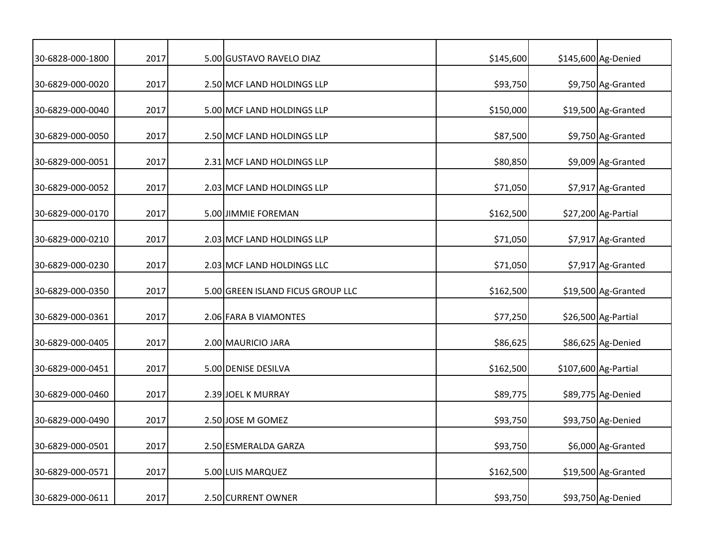| 30-6828-000-1800 | 2017 | 5.00 GUSTAVO RAVELO DIAZ          | \$145,600 | \$145,600 Ag-Denied  |
|------------------|------|-----------------------------------|-----------|----------------------|
|                  |      |                                   |           |                      |
| 30-6829-000-0020 | 2017 | 2.50 MCF LAND HOLDINGS LLP        | \$93,750  | \$9,750 Ag-Granted   |
| 30-6829-000-0040 | 2017 | 5.00 MCF LAND HOLDINGS LLP        | \$150,000 | \$19,500 Ag-Granted  |
| 30-6829-000-0050 | 2017 | 2.50 MCF LAND HOLDINGS LLP        | \$87,500  | \$9,750 Ag-Granted   |
| 30-6829-000-0051 | 2017 | 2.31 MCF LAND HOLDINGS LLP        | \$80,850  | \$9,009 Ag-Granted   |
| 30-6829-000-0052 | 2017 | 2.03 MCF LAND HOLDINGS LLP        | \$71,050  | \$7,917 Ag-Granted   |
| 30-6829-000-0170 | 2017 | 5.00 JIMMIE FOREMAN               | \$162,500 | \$27,200 Ag-Partial  |
| 30-6829-000-0210 | 2017 | 2.03 MCF LAND HOLDINGS LLP        | \$71,050  | \$7,917 Ag-Granted   |
| 30-6829-000-0230 | 2017 | 2.03 MCF LAND HOLDINGS LLC        | \$71,050  | \$7,917 Ag-Granted   |
| 30-6829-000-0350 | 2017 | 5.00 GREEN ISLAND FICUS GROUP LLC | \$162,500 | \$19,500 Ag-Granted  |
| 30-6829-000-0361 | 2017 | 2.06 FARA B VIAMONTES             | \$77,250  | \$26,500 Ag-Partial  |
| 30-6829-000-0405 | 2017 | 2.00 MAURICIO JARA                | \$86,625  | \$86,625 Ag-Denied   |
| 30-6829-000-0451 | 2017 | 5.00 DENISE DESILVA               | \$162,500 | \$107,600 Ag-Partial |
| 30-6829-000-0460 | 2017 | 2.39 JOEL K MURRAY                | \$89,775  | \$89,775 Ag-Denied   |
| 30-6829-000-0490 | 2017 | 2.50 JOSE M GOMEZ                 | \$93,750  | \$93,750 Ag-Denied   |
| 30-6829-000-0501 | 2017 | 2.50 ESMERALDA GARZA              | \$93,750  | \$6,000 Ag-Granted   |
| 30-6829-000-0571 | 2017 | 5.00 LUIS MARQUEZ                 | \$162,500 | \$19,500 Ag-Granted  |
| 30-6829-000-0611 | 2017 | 2.50 CURRENT OWNER                | \$93,750  | \$93,750 Ag-Denied   |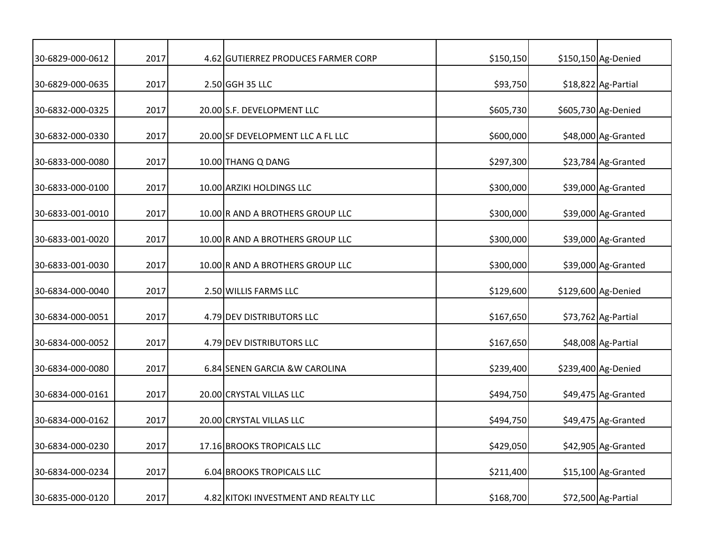| 30-6829-000-0612 | 2017 | 4.62 GUTIERREZ PRODUCES FARMER CORP   | \$150,150 | \$150,150 Ag-Denied |
|------------------|------|---------------------------------------|-----------|---------------------|
|                  |      |                                       |           |                     |
| 30-6829-000-0635 | 2017 | 2.50 GGH 35 LLC                       | \$93,750  | \$18,822 Ag-Partial |
| 30-6832-000-0325 | 2017 | 20.00 S.F. DEVELOPMENT LLC            | \$605,730 | \$605,730 Ag-Denied |
| 30-6832-000-0330 | 2017 | 20.00 SF DEVELOPMENT LLC A FL LLC     | \$600,000 | \$48,000 Ag-Granted |
| 30-6833-000-0080 | 2017 | 10.00 THANG Q DANG                    | \$297,300 | \$23,784 Ag-Granted |
| 30-6833-000-0100 | 2017 | 10.00 ARZIKI HOLDINGS LLC             | \$300,000 | \$39,000 Ag-Granted |
| 30-6833-001-0010 | 2017 | 10.00 R AND A BROTHERS GROUP LLC      | \$300,000 | \$39,000 Ag-Granted |
| 30-6833-001-0020 | 2017 | 10.00 R AND A BROTHERS GROUP LLC      | \$300,000 | \$39,000 Ag-Granted |
| 30-6833-001-0030 | 2017 | 10.00 R AND A BROTHERS GROUP LLC      | \$300,000 | \$39,000 Ag-Granted |
| 30-6834-000-0040 | 2017 | 2.50 WILLIS FARMS LLC                 | \$129,600 | \$129,600 Ag-Denied |
| 30-6834-000-0051 | 2017 | 4.79 DEV DISTRIBUTORS LLC             | \$167,650 | \$73,762 Ag-Partial |
| 30-6834-000-0052 | 2017 | 4.79 DEV DISTRIBUTORS LLC             | \$167,650 | \$48,008 Ag-Partial |
| 30-6834-000-0080 | 2017 | 6.84 SENEN GARCIA & W CAROLINA        | \$239,400 | \$239,400 Ag-Denied |
| 30-6834-000-0161 | 2017 | 20.00 CRYSTAL VILLAS LLC              | \$494,750 | \$49,475 Ag-Granted |
| 30-6834-000-0162 | 2017 | 20.00 CRYSTAL VILLAS LLC              | \$494,750 | \$49,475 Ag-Granted |
| 30-6834-000-0230 | 2017 | 17.16 BROOKS TROPICALS LLC            | \$429,050 | \$42,905 Ag-Granted |
| 30-6834-000-0234 | 2017 | <b>6.04 BROOKS TROPICALS LLC</b>      | \$211,400 | \$15,100 Ag-Granted |
| 30-6835-000-0120 | 2017 | 4.82 KITOKI INVESTMENT AND REALTY LLC | \$168,700 | \$72,500 Ag-Partial |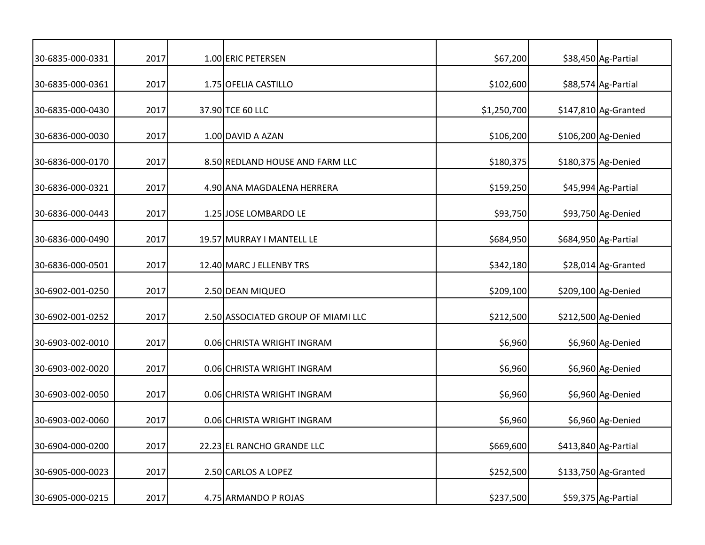| 30-6835-000-0331 | 2017 | 1.00 ERIC PETERSEN                 | \$67,200    | \$38,450 Ag-Partial   |
|------------------|------|------------------------------------|-------------|-----------------------|
| 30-6835-000-0361 | 2017 | 1.75 OFELIA CASTILLO               | \$102,600   | \$88,574 Ag-Partial   |
| 30-6835-000-0430 | 2017 | 37.90 TCE 60 LLC                   | \$1,250,700 | $$147,810$ Ag-Granted |
| 30-6836-000-0030 | 2017 | 1.00 DAVID A AZAN                  | \$106,200   | \$106,200 Ag-Denied   |
| 30-6836-000-0170 | 2017 | 8.50 REDLAND HOUSE AND FARM LLC    | \$180,375   | \$180,375 Ag-Denied   |
| 30-6836-000-0321 | 2017 | 4.90 ANA MAGDALENA HERRERA         | \$159,250   | \$45,994 Ag-Partial   |
| 30-6836-000-0443 | 2017 | 1.25 JOSE LOMBARDO LE              | \$93,750    | \$93,750 Ag-Denied    |
| 30-6836-000-0490 | 2017 | 19.57 MURRAY I MANTELL LE          | \$684,950   | \$684,950 Ag-Partial  |
| 30-6836-000-0501 | 2017 | 12.40 MARC J ELLENBY TRS           | \$342,180   | \$28,014 Ag-Granted   |
| 30-6902-001-0250 | 2017 | 2.50 DEAN MIQUEO                   | \$209,100   | \$209,100 Ag-Denied   |
| 30-6902-001-0252 | 2017 | 2.50 ASSOCIATED GROUP OF MIAMI LLC | \$212,500   | \$212,500 Ag-Denied   |
| 30-6903-002-0010 | 2017 | 0.06 CHRISTA WRIGHT INGRAM         | \$6,960     | \$6,960 Ag-Denied     |
| 30-6903-002-0020 | 2017 | 0.06 CHRISTA WRIGHT INGRAM         | \$6,960     | \$6,960 Ag-Denied     |
| 30-6903-002-0050 | 2017 | 0.06 CHRISTA WRIGHT INGRAM         | \$6,960     | \$6,960 Ag-Denied     |
| 30-6903-002-0060 | 2017 | 0.06 CHRISTA WRIGHT INGRAM         | \$6,960     | \$6,960 Ag-Denied     |
| 30-6904-000-0200 | 2017 | 22.23 EL RANCHO GRANDE LLC         | \$669,600   | \$413,840 Ag-Partial  |
| 30-6905-000-0023 | 2017 | 2.50 CARLOS A LOPEZ                | \$252,500   | \$133,750 Ag-Granted  |
| 30-6905-000-0215 | 2017 | 4.75 ARMANDO P ROJAS               | \$237,500   | \$59,375 Ag-Partial   |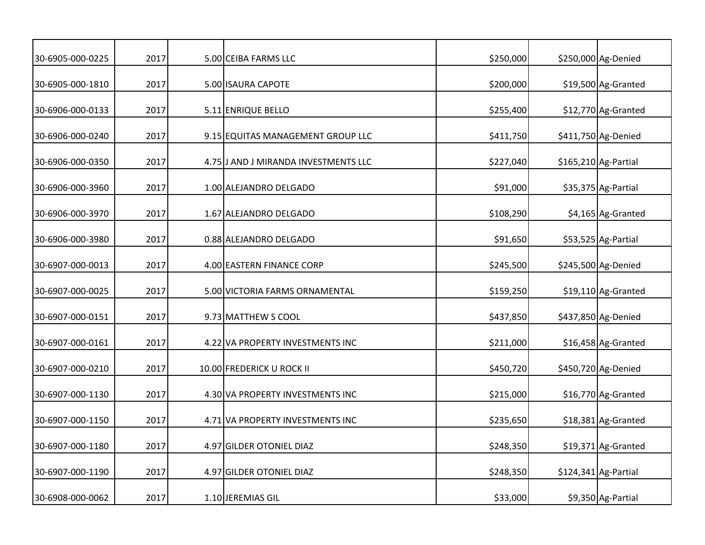| 30-6905-000-0225 | 2017 | 5.00 CEIBA FARMS LLC                 | \$250,000 | \$250,000 Ag-Denied  |
|------------------|------|--------------------------------------|-----------|----------------------|
| 30-6905-000-1810 | 2017 | 5.00 ISAURA CAPOTE                   | \$200,000 | \$19,500 Ag-Granted  |
| 30-6906-000-0133 | 2017 | 5.11 ENRIQUE BELLO                   | \$255,400 | \$12,770 Ag-Granted  |
| 30-6906-000-0240 | 2017 | 9.15 EQUITAS MANAGEMENT GROUP LLC    | \$411,750 | \$411,750 Ag-Denied  |
| 30-6906-000-0350 | 2017 | 4.75 J AND J MIRANDA INVESTMENTS LLC | \$227,040 | \$165,210 Ag-Partial |
| 30-6906-000-3960 | 2017 | 1.00 ALEJANDRO DELGADO               | \$91,000  | \$35,375 Ag-Partial  |
| 30-6906-000-3970 | 2017 | 1.67 ALEJANDRO DELGADO               | \$108,290 | \$4,165 Ag-Granted   |
| 30-6906-000-3980 | 2017 | 0.88 ALEJANDRO DELGADO               | \$91,650  | \$53,525 Ag-Partial  |
| 30-6907-000-0013 | 2017 | 4.00 EASTERN FINANCE CORP            | \$245,500 | \$245,500 Ag-Denied  |
| 30-6907-000-0025 | 2017 | 5.00 VICTORIA FARMS ORNAMENTAL       | \$159,250 | \$19,110 Ag-Granted  |
| 30-6907-000-0151 | 2017 | 9.73 MATTHEW S COOL                  | \$437,850 | \$437,850 Ag-Denied  |
| 30-6907-000-0161 | 2017 | 4.22 VA PROPERTY INVESTMENTS INC     | \$211,000 | \$16,458 Ag-Granted  |
| 30-6907-000-0210 | 2017 | 10.00 FREDERICK U ROCK II            | \$450,720 | \$450,720 Ag-Denied  |
| 30-6907-000-1130 | 2017 | 4.30 VA PROPERTY INVESTMENTS INC     | \$215,000 | \$16,770 Ag-Granted  |
| 30-6907-000-1150 | 2017 | 4.71 VA PROPERTY INVESTMENTS INC     | \$235,650 | \$18,381 Ag-Granted  |
| 30-6907-000-1180 | 2017 | 4.97 GILDER OTONIEL DIAZ             | \$248,350 | \$19,371 Ag-Granted  |
| 30-6907-000-1190 | 2017 | 4.97 GILDER OTONIEL DIAZ             | \$248,350 | \$124,341 Ag-Partial |
| 30-6908-000-0062 | 2017 | 1.10 JEREMIAS GIL                    | \$33,000  | \$9,350 Ag-Partial   |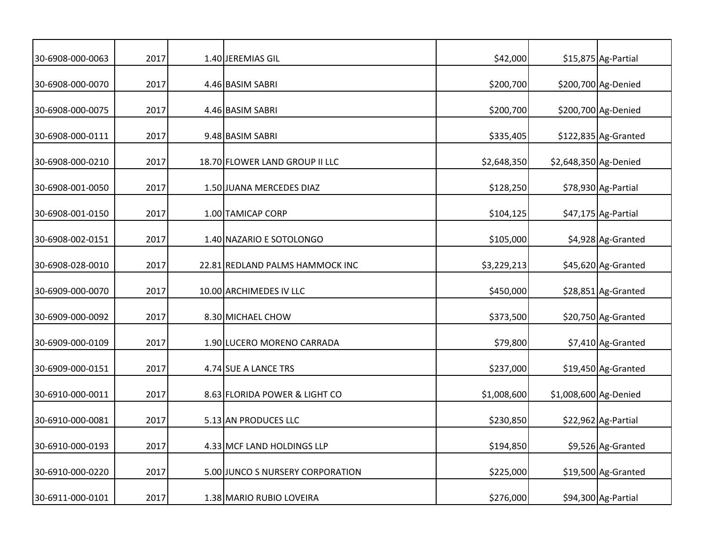| 30-6908-000-0063 | 2017 | 1.40 JEREMIAS GIL                | \$42,000    |                       | \$15,875 Ag-Partial  |
|------------------|------|----------------------------------|-------------|-----------------------|----------------------|
| 30-6908-000-0070 | 2017 | 4.46 BASIM SABRI                 | \$200,700   |                       | \$200,700 Ag-Denied  |
| 30-6908-000-0075 | 2017 | 4.46 BASIM SABRI                 | \$200,700   |                       | \$200,700 Ag-Denied  |
| 30-6908-000-0111 | 2017 | 9.48 BASIM SABRI                 | \$335,405   |                       | \$122,835 Ag-Granted |
| 30-6908-000-0210 | 2017 | 18.70 FLOWER LAND GROUP II LLC   | \$2,648,350 | \$2,648,350 Ag-Denied |                      |
| 30-6908-001-0050 | 2017 | 1.50 JUANA MERCEDES DIAZ         | \$128,250   |                       | \$78,930 Ag-Partial  |
| 30-6908-001-0150 | 2017 | 1.00 TAMICAP CORP                | \$104,125   |                       | \$47,175 Ag-Partial  |
| 30-6908-002-0151 | 2017 | 1.40 NAZARIO E SOTOLONGO         | \$105,000   |                       | \$4,928 Ag-Granted   |
| 30-6908-028-0010 | 2017 | 22.81 REDLAND PALMS HAMMOCK INC  | \$3,229,213 |                       | \$45,620 Ag-Granted  |
| 30-6909-000-0070 | 2017 | 10.00 ARCHIMEDES IV LLC          | \$450,000   |                       | \$28,851 Ag-Granted  |
| 30-6909-000-0092 | 2017 | 8.30 MICHAEL CHOW                | \$373,500   |                       | \$20,750 Ag-Granted  |
| 30-6909-000-0109 | 2017 | 1.90 LUCERO MORENO CARRADA       | \$79,800    |                       | \$7,410 Ag-Granted   |
| 30-6909-000-0151 | 2017 | 4.74 SUE A LANCE TRS             | \$237,000   |                       | \$19,450 Ag-Granted  |
| 30-6910-000-0011 | 2017 | 8.63 FLORIDA POWER & LIGHT CO    | \$1,008,600 | \$1,008,600 Ag-Denied |                      |
| 30-6910-000-0081 | 2017 | 5.13 AN PRODUCES LLC             | \$230,850   |                       | \$22,962 Ag-Partial  |
| 30-6910-000-0193 | 2017 | 4.33 MCF LAND HOLDINGS LLP       | \$194,850   |                       | \$9,526 Ag-Granted   |
| 30-6910-000-0220 | 2017 | 5.00 JUNCO S NURSERY CORPORATION | \$225,000   |                       | \$19,500 Ag-Granted  |
| 30-6911-000-0101 | 2017 | 1.38 MARIO RUBIO LOVEIRA         | \$276,000   |                       | \$94,300 Ag-Partial  |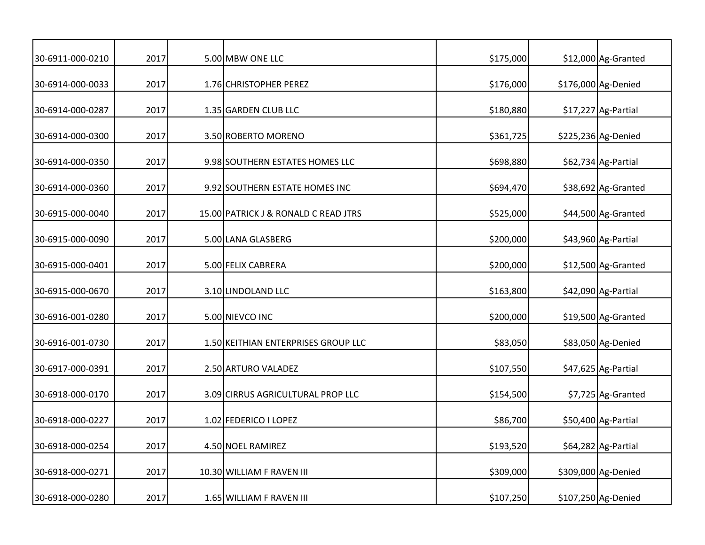| 30-6911-000-0210 | 2017 | 5.00 MBW ONE LLC                     | \$175,000 | \$12,000 Ag-Granted |
|------------------|------|--------------------------------------|-----------|---------------------|
| 30-6914-000-0033 | 2017 | 1.76 CHRISTOPHER PEREZ               | \$176,000 | \$176,000 Ag-Denied |
| 30-6914-000-0287 | 2017 | 1.35 GARDEN CLUB LLC                 | \$180,880 | \$17,227 Ag-Partial |
| 30-6914-000-0300 | 2017 | 3.50 ROBERTO MORENO                  | \$361,725 | \$225,236 Ag-Denied |
| 30-6914-000-0350 | 2017 | 9.98 SOUTHERN ESTATES HOMES LLC      | \$698,880 | \$62,734 Ag-Partial |
| 30-6914-000-0360 | 2017 | 9.92 SOUTHERN ESTATE HOMES INC       | \$694,470 | \$38,692 Ag-Granted |
| 30-6915-000-0040 | 2017 | 15.00 PATRICK J & RONALD C READ JTRS | \$525,000 | \$44,500 Ag-Granted |
| 30-6915-000-0090 | 2017 | 5.00 LANA GLASBERG                   | \$200,000 | \$43,960 Ag-Partial |
| 30-6915-000-0401 | 2017 | 5.00 FELIX CABRERA                   | \$200,000 | \$12,500 Ag-Granted |
| 30-6915-000-0670 | 2017 | 3.10 LINDOLAND LLC                   | \$163,800 | \$42,090 Ag-Partial |
| 30-6916-001-0280 | 2017 | 5.00 NIEVCO INC                      | \$200,000 | \$19,500 Ag-Granted |
| 30-6916-001-0730 | 2017 | 1.50 KEITHIAN ENTERPRISES GROUP LLC  | \$83,050  | \$83,050 Ag-Denied  |
| 30-6917-000-0391 | 2017 | 2.50 ARTURO VALADEZ                  | \$107,550 | \$47,625 Ag-Partial |
| 30-6918-000-0170 | 2017 | 3.09 CIRRUS AGRICULTURAL PROP LLC    | \$154,500 | \$7,725 Ag-Granted  |
| 30-6918-000-0227 | 2017 | 1.02 FEDERICO I LOPEZ                | \$86,700  | \$50,400 Ag-Partial |
| 30-6918-000-0254 | 2017 | 4.50 NOEL RAMIREZ                    | \$193,520 | \$64,282 Ag-Partial |
| 30-6918-000-0271 | 2017 | 10.30 WILLIAM F RAVEN III            | \$309,000 | \$309,000 Ag-Denied |
| 30-6918-000-0280 | 2017 | 1.65 WILLIAM F RAVEN III             | \$107,250 | \$107,250 Ag-Denied |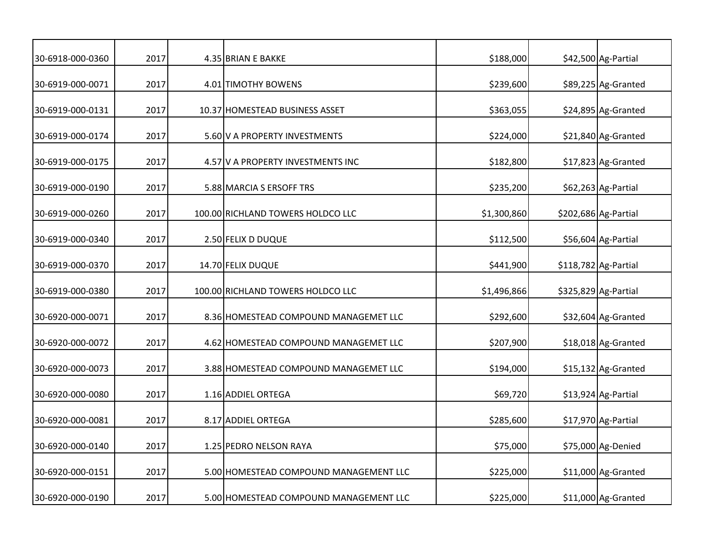| 30-6918-000-0360 | 2017 | 4.35 BRIAN E BAKKE                     | \$188,000   | \$42,500 Ag-Partial  |
|------------------|------|----------------------------------------|-------------|----------------------|
| 30-6919-000-0071 | 2017 | 4.01 TIMOTHY BOWENS                    | \$239,600   | \$89,225 Ag-Granted  |
| 30-6919-000-0131 | 2017 | 10.37 HOMESTEAD BUSINESS ASSET         | \$363,055   | \$24,895 Ag-Granted  |
| 30-6919-000-0174 | 2017 | 5.60 V A PROPERTY INVESTMENTS          | \$224,000   | \$21,840 Ag-Granted  |
| 30-6919-000-0175 | 2017 | 4.57 V A PROPERTY INVESTMENTS INC      | \$182,800   | \$17,823 Ag-Granted  |
| 30-6919-000-0190 | 2017 | 5.88 MARCIA S ERSOFF TRS               | \$235,200   | \$62,263 Ag-Partial  |
| 30-6919-000-0260 | 2017 | 100.00 RICHLAND TOWERS HOLDCO LLC      | \$1,300,860 | \$202,686 Ag-Partial |
| 30-6919-000-0340 | 2017 | 2.50 FELIX D DUQUE                     | \$112,500   | \$56,604 Ag-Partial  |
| 30-6919-000-0370 | 2017 | 14.70 FELIX DUQUE                      | \$441,900   | \$118,782 Ag-Partial |
| 30-6919-000-0380 | 2017 | 100.00 RICHLAND TOWERS HOLDCO LLC      | \$1,496,866 | \$325,829 Ag-Partial |
| 30-6920-000-0071 | 2017 | 8.36 HOMESTEAD COMPOUND MANAGEMET LLC  | \$292,600   | \$32,604 Ag-Granted  |
| 30-6920-000-0072 | 2017 | 4.62 HOMESTEAD COMPOUND MANAGEMET LLC  | \$207,900   | \$18,018 Ag-Granted  |
| 30-6920-000-0073 | 2017 | 3.88 HOMESTEAD COMPOUND MANAGEMET LLC  | \$194,000   | \$15,132 Ag-Granted  |
| 30-6920-000-0080 | 2017 | 1.16 ADDIEL ORTEGA                     | \$69,720    | \$13,924 Ag-Partial  |
| 30-6920-000-0081 | 2017 | 8.17 ADDIEL ORTEGA                     | \$285,600   | \$17,970 Ag-Partial  |
| 30-6920-000-0140 | 2017 | 1.25 PEDRO NELSON RAYA                 | \$75,000    | \$75,000 Ag-Denied   |
| 30-6920-000-0151 | 2017 | 5.00 HOMESTEAD COMPOUND MANAGEMENT LLC | \$225,000   | \$11,000 Ag-Granted  |
| 30-6920-000-0190 | 2017 | 5.00 HOMESTEAD COMPOUND MANAGEMENT LLC | \$225,000   | \$11,000 Ag-Granted  |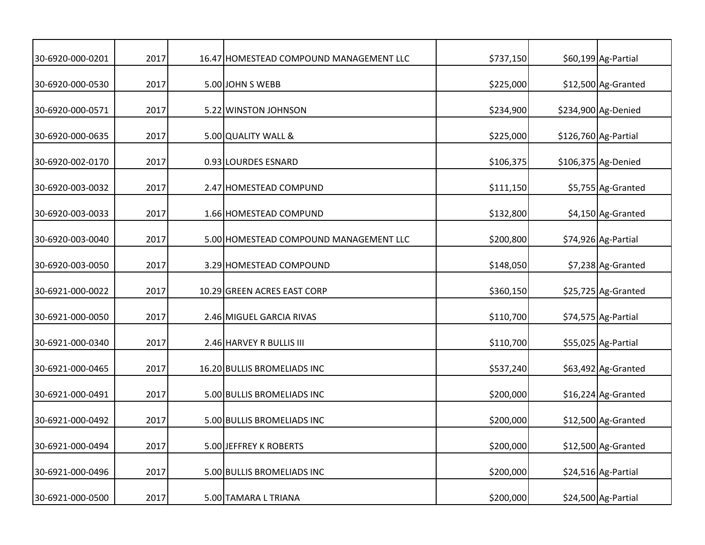| 30-6920-000-0201 | 2017 | 16.47 HOMESTEAD COMPOUND MANAGEMENT LLC | \$737,150 | \$60,199 Ag-Partial  |
|------------------|------|-----------------------------------------|-----------|----------------------|
| 30-6920-000-0530 | 2017 | 5.00 JOHN S WEBB                        | \$225,000 | \$12,500 Ag-Granted  |
| 30-6920-000-0571 | 2017 | 5.22 WINSTON JOHNSON                    | \$234,900 | \$234,900 Ag-Denied  |
| 30-6920-000-0635 | 2017 | 5.00 QUALITY WALL &                     | \$225,000 | \$126,760 Ag-Partial |
| 30-6920-002-0170 | 2017 | 0.93 LOURDES ESNARD                     | \$106,375 | \$106,375 Ag-Denied  |
| 30-6920-003-0032 | 2017 | 2.47 HOMESTEAD COMPUND                  | \$111,150 | \$5,755 Ag-Granted   |
| 30-6920-003-0033 | 2017 | 1.66 HOMESTEAD COMPUND                  | \$132,800 | \$4,150 Ag-Granted   |
| 30-6920-003-0040 | 2017 | 5.00 HOMESTEAD COMPOUND MANAGEMENT LLC  | \$200,800 | \$74,926 Ag-Partial  |
| 30-6920-003-0050 | 2017 | 3.29 HOMESTEAD COMPOUND                 | \$148,050 | \$7,238 Ag-Granted   |
| 30-6921-000-0022 | 2017 | 10.29 GREEN ACRES EAST CORP             | \$360,150 | \$25,725 Ag-Granted  |
| 30-6921-000-0050 | 2017 | 2.46 MIGUEL GARCIA RIVAS                | \$110,700 | \$74,575 Ag-Partial  |
| 30-6921-000-0340 | 2017 | 2.46 HARVEY R BULLIS III                | \$110,700 | \$55,025 Ag-Partial  |
| 30-6921-000-0465 | 2017 | 16.20 BULLIS BROMELIADS INC             | \$537,240 | \$63,492 Ag-Granted  |
| 30-6921-000-0491 | 2017 | 5.00 BULLIS BROMELIADS INC              | \$200,000 | \$16,224 Ag-Granted  |
| 30-6921-000-0492 | 2017 | 5.00 BULLIS BROMELIADS INC              | \$200,000 | \$12,500 Ag-Granted  |
| 30-6921-000-0494 | 2017 | 5.00 JEFFREY K ROBERTS                  | \$200,000 | \$12,500 Ag-Granted  |
| 30-6921-000-0496 | 2017 | 5.00 BULLIS BROMELIADS INC              | \$200,000 | \$24,516 Ag-Partial  |
| 30-6921-000-0500 | 2017 | 5.00 TAMARA L TRIANA                    | \$200,000 | \$24,500 Ag-Partial  |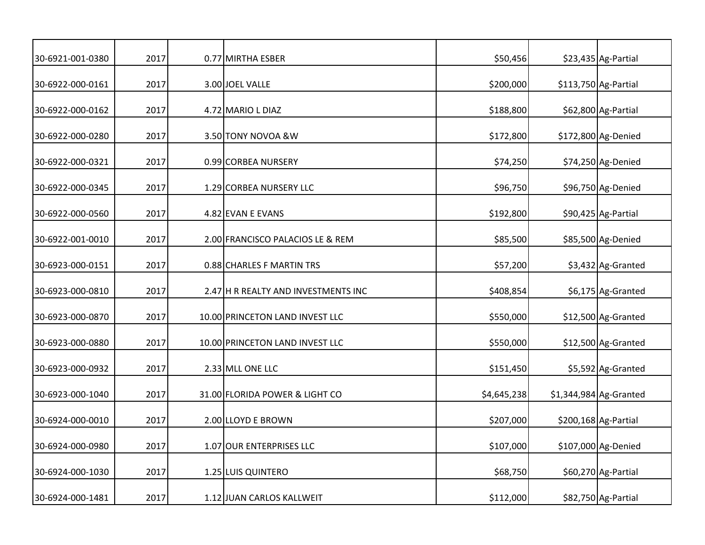| 30-6921-001-0380 | 2017 | 0.77 MIRTHA ESBER                   | \$50,456    | \$23,435 Ag-Partial     |
|------------------|------|-------------------------------------|-------------|-------------------------|
| 30-6922-000-0161 | 2017 | 3.00 JOEL VALLE                     | \$200,000   | \$113,750 Ag-Partial    |
| 30-6922-000-0162 | 2017 | 4.72 MARIO L DIAZ                   | \$188,800   | \$62,800 Ag-Partial     |
| 30-6922-000-0280 | 2017 | 3.50 TONY NOVOA & W                 | \$172,800   | \$172,800 Ag-Denied     |
| 30-6922-000-0321 | 2017 | 0.99 CORBEA NURSERY                 | \$74,250    | \$74,250 Ag-Denied      |
| 30-6922-000-0345 | 2017 | 1.29 CORBEA NURSERY LLC             | \$96,750    | \$96,750 Ag-Denied      |
| 30-6922-000-0560 | 2017 | 4.82 EVAN E EVANS                   | \$192,800   | \$90,425 Ag-Partial     |
| 30-6922-001-0010 | 2017 | 2.00 FRANCISCO PALACIOS LE & REM    | \$85,500    | \$85,500 Ag-Denied      |
| 30-6923-000-0151 | 2017 | 0.88 CHARLES F MARTIN TRS           | \$57,200    | \$3,432 Ag-Granted      |
| 30-6923-000-0810 | 2017 | 2.47 H R REALTY AND INVESTMENTS INC | \$408,854   | \$6,175 Ag-Granted      |
| 30-6923-000-0870 | 2017 | 10.00 PRINCETON LAND INVEST LLC     | \$550,000   | \$12,500 Ag-Granted     |
| 30-6923-000-0880 | 2017 | 10.00 PRINCETON LAND INVEST LLC     | \$550,000   | \$12,500 Ag-Granted     |
| 30-6923-000-0932 | 2017 | 2.33 MLL ONE LLC                    | \$151,450   | \$5,592 Ag-Granted      |
| 30-6923-000-1040 | 2017 | 31.00 FLORIDA POWER & LIGHT CO      | \$4,645,238 | $$1,344,984$ Ag-Granted |
| 30-6924-000-0010 | 2017 | 2.00 LLOYD E BROWN                  | \$207,000   | \$200,168 Ag-Partial    |
| 30-6924-000-0980 | 2017 | 1.07 OUR ENTERPRISES LLC            | \$107,000   | \$107,000 Ag-Denied     |
| 30-6924-000-1030 | 2017 | 1.25 LUIS QUINTERO                  | \$68,750    | \$60,270 Ag-Partial     |
| 30-6924-000-1481 | 2017 | 1.12 JUAN CARLOS KALLWEIT           | \$112,000   | \$82,750 Ag-Partial     |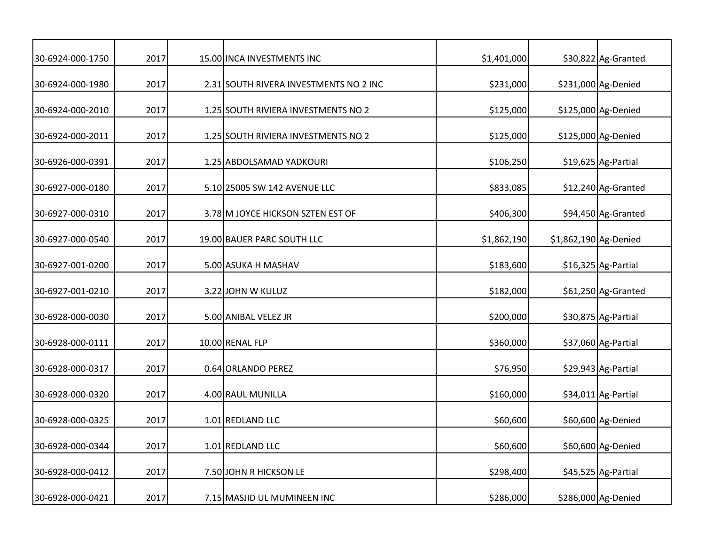| 30-6924-000-1750 | 2017 | 15.00 INCA INVESTMENTS INC             | \$1,401,000 |                       | \$30,822 Ag-Granted |
|------------------|------|----------------------------------------|-------------|-----------------------|---------------------|
| 30-6924-000-1980 | 2017 | 2.31 SOUTH RIVERA INVESTMENTS NO 2 INC | \$231,000   |                       | \$231,000 Ag-Denied |
| 30-6924-000-2010 | 2017 | 1.25 SOUTH RIVIERA INVESTMENTS NO 2    | \$125,000   |                       | \$125,000 Ag-Denied |
| 30-6924-000-2011 | 2017 | 1.25 SOUTH RIVIERA INVESTMENTS NO 2    | \$125,000   |                       | \$125,000 Ag-Denied |
| 30-6926-000-0391 | 2017 | 1.25 ABDOLSAMAD YADKOURI               | \$106,250   |                       | \$19,625 Ag-Partial |
| 30-6927-000-0180 | 2017 | 5.10 25005 SW 142 AVENUE LLC           | \$833,085   |                       | \$12,240 Ag-Granted |
| 30-6927-000-0310 | 2017 | 3.78 M JOYCE HICKSON SZTEN EST OF      | \$406,300   |                       | \$94,450 Ag-Granted |
| 30-6927-000-0540 | 2017 | 19.00 BAUER PARC SOUTH LLC             | \$1,862,190 | \$1,862,190 Ag-Denied |                     |
| 30-6927-001-0200 | 2017 | 5.00 ASUKA H MASHAV                    | \$183,600   |                       | \$16,325 Ag-Partial |
| 30-6927-001-0210 | 2017 | 3.22 JOHN W KULUZ                      | \$182,000   |                       | \$61,250 Ag-Granted |
| 30-6928-000-0030 | 2017 | 5.00 ANIBAL VELEZ JR                   | \$200,000   |                       | \$30,875 Ag-Partial |
| 30-6928-000-0111 | 2017 | 10.00 RENAL FLP                        | \$360,000   |                       | \$37,060 Ag-Partial |
| 30-6928-000-0317 | 2017 | 0.64 ORLANDO PEREZ                     | \$76,950    |                       | \$29,943 Ag-Partial |
| 30-6928-000-0320 | 2017 | 4.00 RAUL MUNILLA                      | \$160,000   |                       | \$34,011 Ag-Partial |
| 30-6928-000-0325 | 2017 | 1.01 REDLAND LLC                       | \$60,600    |                       | \$60,600 Ag-Denied  |
| 30-6928-000-0344 | 2017 | 1.01 REDLAND LLC                       | \$60,600    |                       | \$60,600 Ag-Denied  |
| 30-6928-000-0412 | 2017 | 7.50 JOHN R HICKSON LE                 | \$298,400   |                       | \$45,525 Ag-Partial |
| 30-6928-000-0421 | 2017 | 7.15 MASJID UL MUMINEEN INC            | \$286,000   |                       | \$286,000 Ag-Denied |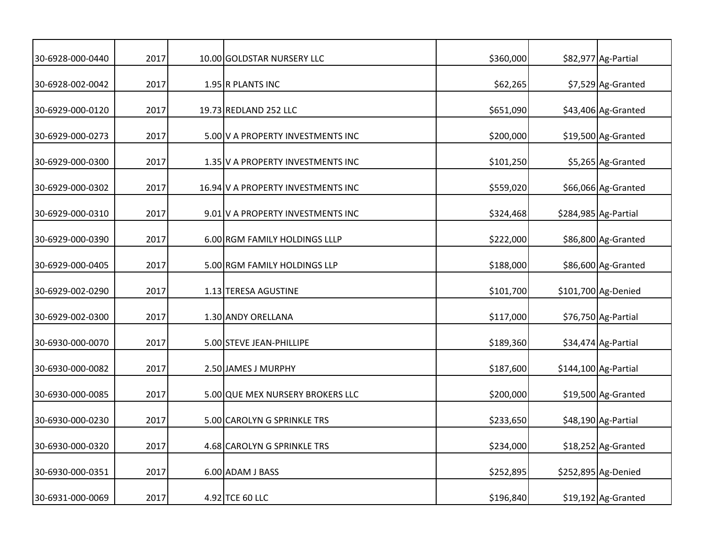| 30-6928-000-0440 | 2017 | 10.00 GOLDSTAR NURSERY LLC         | \$360,000 | \$82,977 Ag-Partial  |
|------------------|------|------------------------------------|-----------|----------------------|
| 30-6928-002-0042 | 2017 | 1.95 R PLANTS INC                  | \$62,265  | \$7,529 Ag-Granted   |
| 30-6929-000-0120 | 2017 | 19.73 REDLAND 252 LLC              | \$651,090 | \$43,406 Ag-Granted  |
| 30-6929-000-0273 | 2017 | 5.00 V A PROPERTY INVESTMENTS INC  | \$200,000 | \$19,500 Ag-Granted  |
| 30-6929-000-0300 | 2017 | 1.35 V A PROPERTY INVESTMENTS INC  | \$101,250 | \$5,265 Ag-Granted   |
| 30-6929-000-0302 | 2017 | 16.94 V A PROPERTY INVESTMENTS INC | \$559,020 | \$66,066 Ag-Granted  |
| 30-6929-000-0310 | 2017 | 9.01 V A PROPERTY INVESTMENTS INC  | \$324,468 | \$284,985 Ag-Partial |
| 30-6929-000-0390 | 2017 | 6.00 RGM FAMILY HOLDINGS LLLP      | \$222,000 | \$86,800 Ag-Granted  |
| 30-6929-000-0405 | 2017 | 5.00 RGM FAMILY HOLDINGS LLP       | \$188,000 | \$86,600 Ag-Granted  |
| 30-6929-002-0290 | 2017 | 1.13 TERESA AGUSTINE               | \$101,700 | \$101,700 Ag-Denied  |
| 30-6929-002-0300 | 2017 | 1.30 ANDY ORELLANA                 | \$117,000 | \$76,750 Ag-Partial  |
| 30-6930-000-0070 | 2017 | 5.00 STEVE JEAN-PHILLIPE           | \$189,360 | \$34,474 Ag-Partial  |
| 30-6930-000-0082 | 2017 | 2.50 JAMES J MURPHY                | \$187,600 | \$144,100 Ag-Partial |
| 30-6930-000-0085 | 2017 | 5.00 QUE MEX NURSERY BROKERS LLC   | \$200,000 | \$19,500 Ag-Granted  |
| 30-6930-000-0230 | 2017 | 5.00 CAROLYN G SPRINKLE TRS        | \$233,650 | \$48,190 Ag-Partial  |
| 30-6930-000-0320 | 2017 | 4.68 CAROLYN G SPRINKLE TRS        | \$234,000 | \$18,252 Ag-Granted  |
| 30-6930-000-0351 | 2017 | 6.00 ADAM J BASS                   | \$252,895 | \$252,895 Ag-Denied  |
| 30-6931-000-0069 | 2017 | 4.92 TCE 60 LLC                    | \$196,840 | \$19,192 Ag-Granted  |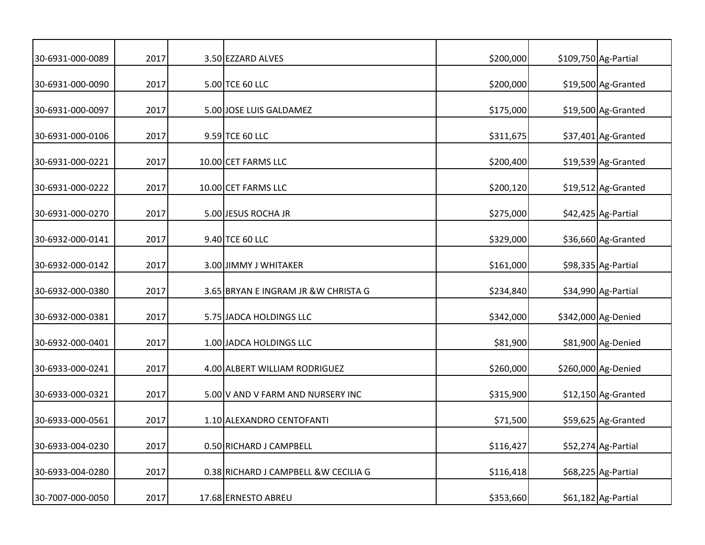| 30-6931-000-0089 | 2017 | 3.50 EZZARD ALVES                     | \$200,000 | \$109,750 Ag-Partial |
|------------------|------|---------------------------------------|-----------|----------------------|
| 30-6931-000-0090 | 2017 | 5.00 TCE 60 LLC                       | \$200,000 | \$19,500 Ag-Granted  |
| 30-6931-000-0097 | 2017 | 5.00 JOSE LUIS GALDAMEZ               | \$175,000 | \$19,500 Ag-Granted  |
| 30-6931-000-0106 | 2017 | 9.59 TCE 60 LLC                       | \$311,675 | \$37,401 Ag-Granted  |
| 30-6931-000-0221 | 2017 | 10.00 CET FARMS LLC                   | \$200,400 | \$19,539 Ag-Granted  |
| 30-6931-000-0222 | 2017 | 10.00 CET FARMS LLC                   | \$200,120 | \$19,512 Ag-Granted  |
| 30-6931-000-0270 | 2017 | 5.00 JESUS ROCHA JR                   | \$275,000 | \$42,425 Ag-Partial  |
| 30-6932-000-0141 | 2017 | 9.40 TCE 60 LLC                       | \$329,000 | \$36,660 Ag-Granted  |
| 30-6932-000-0142 | 2017 | 3.00 JIMMY J WHITAKER                 | \$161,000 | \$98,335 Ag-Partial  |
| 30-6932-000-0380 | 2017 | 3.65 BRYAN E INGRAM JR & W CHRISTA G  | \$234,840 | \$34,990 Ag-Partial  |
| 30-6932-000-0381 | 2017 | 5.75 JADCA HOLDINGS LLC               | \$342,000 | \$342,000 Ag-Denied  |
| 30-6932-000-0401 | 2017 | 1.00 JADCA HOLDINGS LLC               | \$81,900  | \$81,900 Ag-Denied   |
| 30-6933-000-0241 | 2017 | 4.00 ALBERT WILLIAM RODRIGUEZ         | \$260,000 | \$260,000 Ag-Denied  |
| 30-6933-000-0321 | 2017 | 5.00 V AND V FARM AND NURSERY INC     | \$315,900 | \$12,150 Ag-Granted  |
| 30-6933-000-0561 | 2017 | 1.10 ALEXANDRO CENTOFANTI             | \$71,500  | \$59,625 Ag-Granted  |
| 30-6933-004-0230 | 2017 | 0.50 RICHARD J CAMPBELL               | \$116,427 | \$52,274 Ag-Partial  |
| 30-6933-004-0280 | 2017 | 0.38 RICHARD J CAMPBELL & W CECILIA G | \$116,418 | \$68,225 Ag-Partial  |
| 30-7007-000-0050 | 2017 | 17.68 ERNESTO ABREU                   | \$353,660 | \$61,182 Ag-Partial  |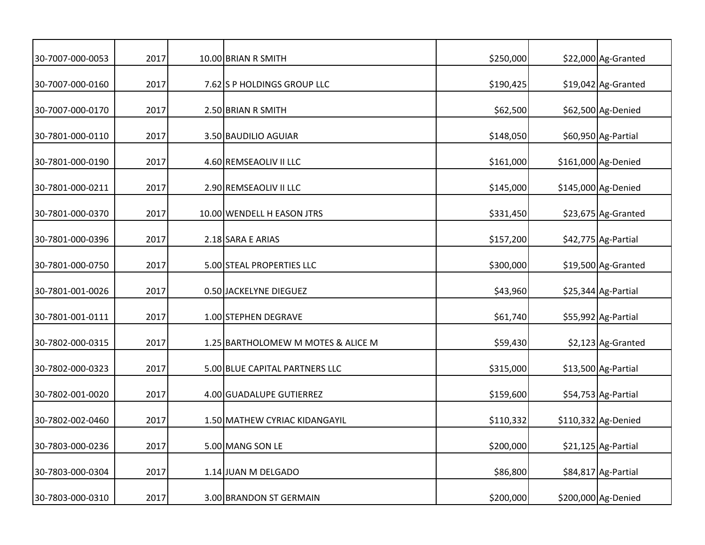| 30-7007-000-0053 | 2017 | 10.00 BRIAN R SMITH                | \$250,000 | \$22,000 Ag-Granted |
|------------------|------|------------------------------------|-----------|---------------------|
| 30-7007-000-0160 | 2017 | 7.62 S P HOLDINGS GROUP LLC        | \$190,425 | \$19,042 Ag-Granted |
| 30-7007-000-0170 | 2017 | 2.50 BRIAN R SMITH                 | \$62,500  | \$62,500 Ag-Denied  |
| 30-7801-000-0110 | 2017 | 3.50 BAUDILIO AGUIAR               | \$148,050 | \$60,950 Ag-Partial |
| 30-7801-000-0190 | 2017 | 4.60 REMSEAOLIV II LLC             | \$161,000 | \$161,000 Ag-Denied |
| 30-7801-000-0211 | 2017 | 2.90 REMSEAOLIV II LLC             | \$145,000 | \$145,000 Ag-Denied |
| 30-7801-000-0370 | 2017 | 10.00 WENDELL H EASON JTRS         | \$331,450 | \$23,675 Ag-Granted |
| 30-7801-000-0396 | 2017 | 2.18 SARA E ARIAS                  | \$157,200 | \$42,775 Ag-Partial |
| 30-7801-000-0750 | 2017 | 5.00 STEAL PROPERTIES LLC          | \$300,000 | \$19,500 Ag-Granted |
| 30-7801-001-0026 | 2017 | 0.50 JACKELYNE DIEGUEZ             | \$43,960  | \$25,344 Ag-Partial |
| 30-7801-001-0111 | 2017 | 1.00 STEPHEN DEGRAVE               | \$61,740  | \$55,992 Ag-Partial |
| 30-7802-000-0315 | 2017 | 1.25 BARTHOLOMEW M MOTES & ALICE M | \$59,430  | \$2,123 Ag-Granted  |
| 30-7802-000-0323 | 2017 | 5.00 BLUE CAPITAL PARTNERS LLC     | \$315,000 | \$13,500 Ag-Partial |
| 30-7802-001-0020 | 2017 | 4.00 GUADALUPE GUTIERREZ           | \$159,600 | \$54,753 Ag-Partial |
| 30-7802-002-0460 | 2017 | 1.50 MATHEW CYRIAC KIDANGAYIL      | \$110,332 | \$110,332 Ag-Denied |
| 30-7803-000-0236 | 2017 | 5.00 MANG SON LE                   | \$200,000 | \$21,125 Ag-Partial |
| 30-7803-000-0304 | 2017 | 1.14 JUAN M DELGADO                | \$86,800  | \$84,817 Ag-Partial |
| 30-7803-000-0310 | 2017 | 3.00 BRANDON ST GERMAIN            | \$200,000 | \$200,000 Ag-Denied |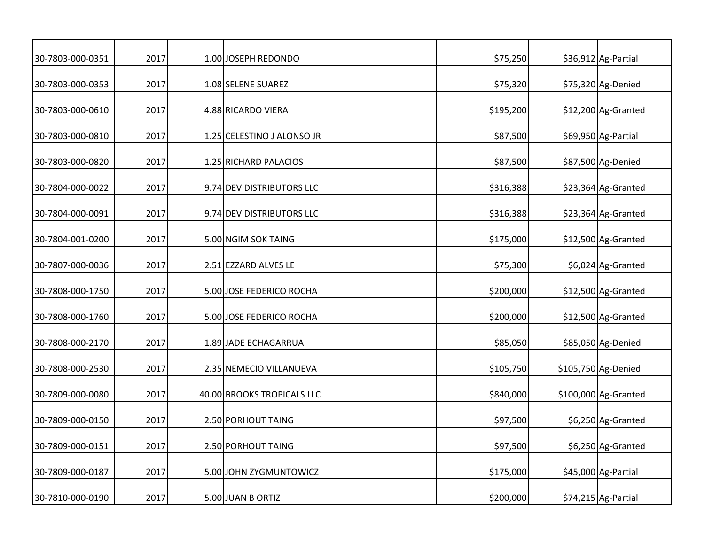| 30-7803-000-0351 | 2017 | 1.00 JOSEPH REDONDO        | \$75,250  | \$36,912 Ag-Partial  |
|------------------|------|----------------------------|-----------|----------------------|
| 30-7803-000-0353 | 2017 | 1.08 SELENE SUAREZ         | \$75,320  | \$75,320 Ag-Denied   |
| 30-7803-000-0610 | 2017 | 4.88 RICARDO VIERA         | \$195,200 | \$12,200 Ag-Granted  |
| 30-7803-000-0810 | 2017 | 1.25 CELESTINO J ALONSO JR | \$87,500  | \$69,950 Ag-Partial  |
| 30-7803-000-0820 | 2017 | 1.25 RICHARD PALACIOS      | \$87,500  | \$87,500 Ag-Denied   |
| 30-7804-000-0022 | 2017 | 9.74 DEV DISTRIBUTORS LLC  | \$316,388 | \$23,364 Ag-Granted  |
| 30-7804-000-0091 | 2017 | 9.74 DEV DISTRIBUTORS LLC  | \$316,388 | \$23,364 Ag-Granted  |
| 30-7804-001-0200 | 2017 | 5.00 NGIM SOK TAING        | \$175,000 | \$12,500 Ag-Granted  |
| 30-7807-000-0036 | 2017 | 2.51 EZZARD ALVES LE       | \$75,300  | \$6,024 Ag-Granted   |
| 30-7808-000-1750 | 2017 | 5.00 JOSE FEDERICO ROCHA   | \$200,000 | \$12,500 Ag-Granted  |
| 30-7808-000-1760 | 2017 | 5.00 JOSE FEDERICO ROCHA   | \$200,000 | \$12,500 Ag-Granted  |
| 30-7808-000-2170 | 2017 | 1.89 JADE ECHAGARRUA       | \$85,050  | \$85,050 Ag-Denied   |
| 30-7808-000-2530 | 2017 | 2.35 NEMECIO VILLANUEVA    | \$105,750 | \$105,750 Ag-Denied  |
| 30-7809-000-0080 | 2017 | 40.00 BROOKS TROPICALS LLC | \$840,000 | \$100,000 Ag-Granted |
| 30-7809-000-0150 | 2017 | 2.50 PORHOUT TAING         | \$97,500  | \$6,250 Ag-Granted   |
| 30-7809-000-0151 | 2017 | 2.50 PORHOUT TAING         | \$97,500  | \$6,250 Ag-Granted   |
| 30-7809-000-0187 | 2017 | 5.00 JOHN ZYGMUNTOWICZ     | \$175,000 | \$45,000 Ag-Partial  |
| 30-7810-000-0190 | 2017 | 5.00 JUAN B ORTIZ          | \$200,000 | \$74,215 Ag-Partial  |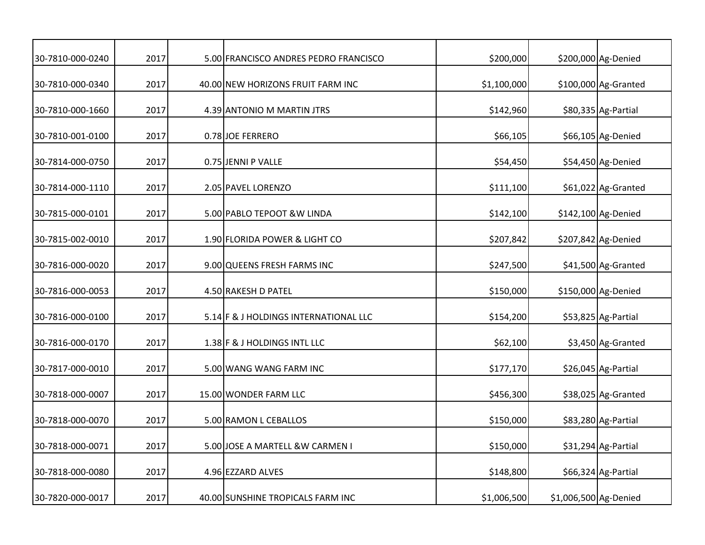| 30-7810-000-0240 | 2017 | 5.00 FRANCISCO ANDRES PEDRO FRANCISCO | \$200,000   |                       | \$200,000 Ag-Denied  |
|------------------|------|---------------------------------------|-------------|-----------------------|----------------------|
| 30-7810-000-0340 | 2017 | 40.00 NEW HORIZONS FRUIT FARM INC     | \$1,100,000 |                       | \$100,000 Ag-Granted |
| 30-7810-000-1660 | 2017 | 4.39 ANTONIO M MARTIN JTRS            | \$142,960   |                       | \$80,335 Ag-Partial  |
| 30-7810-001-0100 | 2017 | 0.78 JOE FERRERO                      | \$66,105    |                       | \$66,105 Ag-Denied   |
| 30-7814-000-0750 | 2017 | 0.75 JENNI P VALLE                    | \$54,450    |                       | \$54,450 Ag-Denied   |
| 30-7814-000-1110 | 2017 | 2.05 PAVEL LORENZO                    | \$111,100   |                       | \$61,022 Ag-Granted  |
| 30-7815-000-0101 | 2017 | 5.00 PABLO TEPOOT & W LINDA           | \$142,100   |                       | \$142,100 Ag-Denied  |
| 30-7815-002-0010 | 2017 | 1.90 FLORIDA POWER & LIGHT CO         | \$207,842   |                       | \$207,842 Ag-Denied  |
| 30-7816-000-0020 | 2017 | 9.00 QUEENS FRESH FARMS INC           | \$247,500   |                       | \$41,500 Ag-Granted  |
| 30-7816-000-0053 | 2017 | 4.50 RAKESH D PATEL                   | \$150,000   |                       | \$150,000 Ag-Denied  |
| 30-7816-000-0100 | 2017 | 5.14 F & J HOLDINGS INTERNATIONAL LLC | \$154,200   |                       | \$53,825 Ag-Partial  |
| 30-7816-000-0170 | 2017 | 1.38 F & J HOLDINGS INTL LLC          | \$62,100    |                       | \$3,450 Ag-Granted   |
| 30-7817-000-0010 | 2017 | 5.00 WANG WANG FARM INC               | \$177,170   |                       | \$26,045 Ag-Partial  |
| 30-7818-000-0007 | 2017 | 15.00 WONDER FARM LLC                 | \$456,300   |                       | \$38,025 Ag-Granted  |
| 30-7818-000-0070 | 2017 | 5.00 RAMON L CEBALLOS                 | \$150,000   |                       | \$83,280 Ag-Partial  |
| 30-7818-000-0071 | 2017 | 5.00 JOSE A MARTELL &W CARMEN I       | \$150,000   |                       | \$31,294 Ag-Partial  |
| 30-7818-000-0080 | 2017 | 4.96 EZZARD ALVES                     | \$148,800   |                       | \$66,324 Ag-Partial  |
| 30-7820-000-0017 | 2017 | 40.00 SUNSHINE TROPICALS FARM INC     | \$1,006,500 | \$1,006,500 Ag-Denied |                      |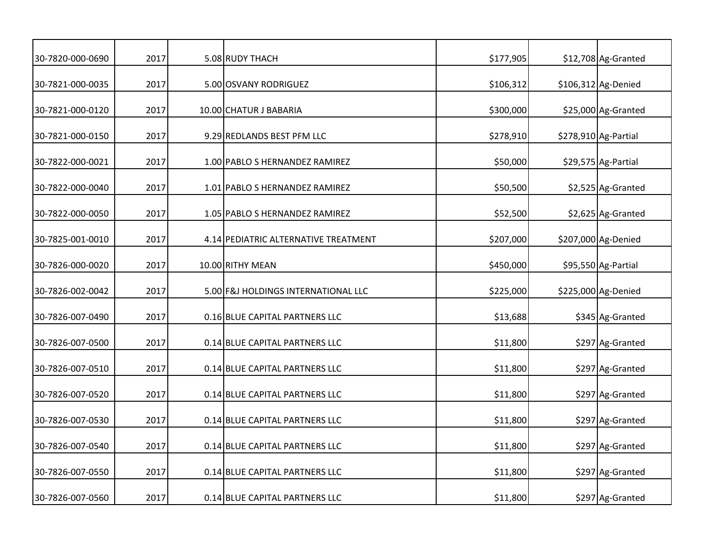| 30-7820-000-0690 | 2017 | 5.08 RUDY THACH                      | \$177,905 | \$12,708 Ag-Granted  |
|------------------|------|--------------------------------------|-----------|----------------------|
| 30-7821-000-0035 | 2017 | 5.00 OSVANY RODRIGUEZ                | \$106,312 | \$106,312 Ag-Denied  |
| 30-7821-000-0120 | 2017 | 10.00 CHATUR J BABARIA               | \$300,000 | \$25,000 Ag-Granted  |
| 30-7821-000-0150 | 2017 | 9.29 REDLANDS BEST PFM LLC           | \$278,910 | \$278,910 Ag-Partial |
| 30-7822-000-0021 | 2017 | 1.00 PABLO S HERNANDEZ RAMIREZ       | \$50,000  | \$29,575 Ag-Partial  |
| 30-7822-000-0040 | 2017 | 1.01 PABLO S HERNANDEZ RAMIREZ       | \$50,500  | \$2,525 Ag-Granted   |
| 30-7822-000-0050 | 2017 | 1.05 PABLO S HERNANDEZ RAMIREZ       | \$52,500  | \$2,625 Ag-Granted   |
| 30-7825-001-0010 | 2017 | 4.14 PEDIATRIC ALTERNATIVE TREATMENT | \$207,000 | \$207,000 Ag-Denied  |
| 30-7826-000-0020 | 2017 | 10.00 RITHY MEAN                     | \$450,000 | \$95,550 Ag-Partial  |
| 30-7826-002-0042 | 2017 | 5.00 F&J HOLDINGS INTERNATIONAL LLC  | \$225,000 | \$225,000 Ag-Denied  |
| 30-7826-007-0490 | 2017 | 0.16 BLUE CAPITAL PARTNERS LLC       | \$13,688  | \$345 Ag-Granted     |
| 30-7826-007-0500 | 2017 | 0.14 BLUE CAPITAL PARTNERS LLC       | \$11,800  | \$297 Ag-Granted     |
| 30-7826-007-0510 | 2017 | 0.14 BLUE CAPITAL PARTNERS LLC       | \$11,800  | \$297 Ag-Granted     |
| 30-7826-007-0520 | 2017 | 0.14 BLUE CAPITAL PARTNERS LLC       | \$11,800  | \$297 Ag-Granted     |
| 30-7826-007-0530 | 2017 | 0.14 BLUE CAPITAL PARTNERS LLC       | \$11,800  | \$297 Ag-Granted     |
| 30-7826-007-0540 | 2017 | 0.14 BLUE CAPITAL PARTNERS LLC       | \$11,800  | \$297 Ag-Granted     |
| 30-7826-007-0550 | 2017 | 0.14 BLUE CAPITAL PARTNERS LLC       | \$11,800  | \$297 Ag-Granted     |
| 30-7826-007-0560 | 2017 | 0.14 BLUE CAPITAL PARTNERS LLC       | \$11,800  | \$297 Ag-Granted     |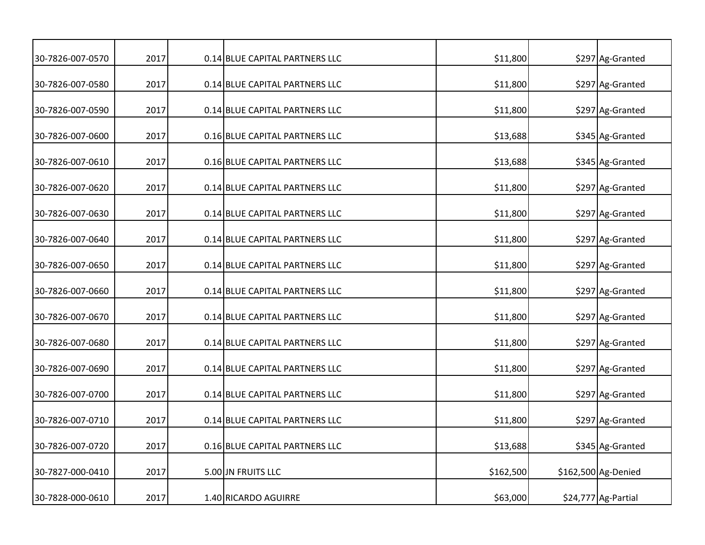| 30-7826-007-0570 | 2017 | 0.14 BLUE CAPITAL PARTNERS LLC | \$11,800  | \$297 Ag-Granted    |
|------------------|------|--------------------------------|-----------|---------------------|
| 30-7826-007-0580 | 2017 | 0.14 BLUE CAPITAL PARTNERS LLC | \$11,800  | \$297 Ag-Granted    |
| 30-7826-007-0590 | 2017 | 0.14 BLUE CAPITAL PARTNERS LLC | \$11,800  | \$297 Ag-Granted    |
| 30-7826-007-0600 | 2017 | 0.16 BLUE CAPITAL PARTNERS LLC | \$13,688  | \$345 Ag-Granted    |
| 30-7826-007-0610 | 2017 | 0.16 BLUE CAPITAL PARTNERS LLC | \$13,688  | \$345 Ag-Granted    |
| 30-7826-007-0620 | 2017 | 0.14 BLUE CAPITAL PARTNERS LLC | \$11,800  | \$297 Ag-Granted    |
| 30-7826-007-0630 | 2017 | 0.14 BLUE CAPITAL PARTNERS LLC | \$11,800  | \$297 Ag-Granted    |
| 30-7826-007-0640 | 2017 | 0.14 BLUE CAPITAL PARTNERS LLC | \$11,800  | \$297 Ag-Granted    |
| 30-7826-007-0650 | 2017 | 0.14 BLUE CAPITAL PARTNERS LLC | \$11,800  | \$297 Ag-Granted    |
| 30-7826-007-0660 | 2017 | 0.14 BLUE CAPITAL PARTNERS LLC | \$11,800  | \$297 Ag-Granted    |
| 30-7826-007-0670 | 2017 | 0.14 BLUE CAPITAL PARTNERS LLC | \$11,800  | \$297 Ag-Granted    |
| 30-7826-007-0680 | 2017 | 0.14 BLUE CAPITAL PARTNERS LLC | \$11,800  | \$297 Ag-Granted    |
| 30-7826-007-0690 | 2017 | 0.14 BLUE CAPITAL PARTNERS LLC | \$11,800  | \$297 Ag-Granted    |
| 30-7826-007-0700 | 2017 | 0.14 BLUE CAPITAL PARTNERS LLC | \$11,800  | \$297 Ag-Granted    |
| 30-7826-007-0710 | 2017 | 0.14 BLUE CAPITAL PARTNERS LLC | \$11,800  | \$297 Ag-Granted    |
| 30-7826-007-0720 | 2017 | 0.16 BLUE CAPITAL PARTNERS LLC | \$13,688  | \$345 Ag-Granted    |
| 30-7827-000-0410 | 2017 | 5.00 JN FRUITS LLC             | \$162,500 | \$162,500 Ag-Denied |
| 30-7828-000-0610 | 2017 | 1.40 RICARDO AGUIRRE           | \$63,000  | \$24,777 Ag-Partial |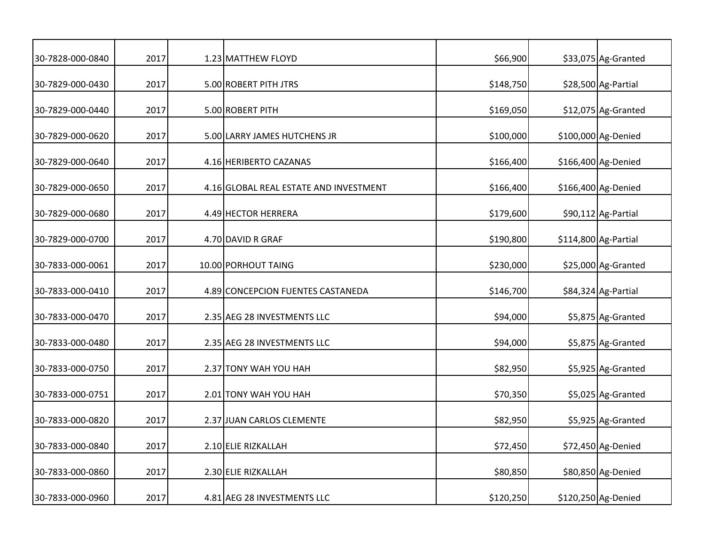| 30-7828-000-0840 | 2017 | 1.23 MATTHEW FLOYD                     | \$66,900  | \$33,075 Ag-Granted  |
|------------------|------|----------------------------------------|-----------|----------------------|
| 30-7829-000-0430 | 2017 | 5.00 ROBERT PITH JTRS                  | \$148,750 | \$28,500 Ag-Partial  |
| 30-7829-000-0440 | 2017 | 5.00 ROBERT PITH                       | \$169,050 | \$12,075 Ag-Granted  |
| 30-7829-000-0620 | 2017 | 5.00 LARRY JAMES HUTCHENS JR           | \$100,000 | \$100,000 Ag-Denied  |
| 30-7829-000-0640 | 2017 | 4.16 HERIBERTO CAZANAS                 | \$166,400 | \$166,400 Ag-Denied  |
| 30-7829-000-0650 | 2017 | 4.16 GLOBAL REAL ESTATE AND INVESTMENT | \$166,400 | \$166,400 Ag-Denied  |
| 30-7829-000-0680 | 2017 | 4.49 HECTOR HERRERA                    | \$179,600 | \$90,112 Ag-Partial  |
| 30-7829-000-0700 | 2017 | 4.70 DAVID R GRAF                      | \$190,800 | \$114,800 Ag-Partial |
| 30-7833-000-0061 | 2017 | 10.00 PORHOUT TAING                    | \$230,000 | \$25,000 Ag-Granted  |
| 30-7833-000-0410 | 2017 | 4.89 CONCEPCION FUENTES CASTANEDA      | \$146,700 | \$84,324 Ag-Partial  |
| 30-7833-000-0470 | 2017 | 2.35 AEG 28 INVESTMENTS LLC            | \$94,000  | \$5,875 Ag-Granted   |
| 30-7833-000-0480 | 2017 | 2.35 AEG 28 INVESTMENTS LLC            | \$94,000  | \$5,875 Ag-Granted   |
| 30-7833-000-0750 | 2017 | 2.37 TONY WAH YOU HAH                  | \$82,950  | \$5,925 Ag-Granted   |
| 30-7833-000-0751 | 2017 | 2.01 TONY WAH YOU HAH                  | \$70,350  | \$5,025 Ag-Granted   |
| 30-7833-000-0820 | 2017 | 2.37 JUAN CARLOS CLEMENTE              | \$82,950  | \$5,925 Ag-Granted   |
| 30-7833-000-0840 | 2017 | 2.10 ELIE RIZKALLAH                    | \$72,450  | \$72,450 Ag-Denied   |
| 30-7833-000-0860 | 2017 | 2.30 ELIE RIZKALLAH                    | \$80,850  | \$80,850 Ag-Denied   |
| 30-7833-000-0960 | 2017 | 4.81 AEG 28 INVESTMENTS LLC            | \$120,250 | \$120,250 Ag-Denied  |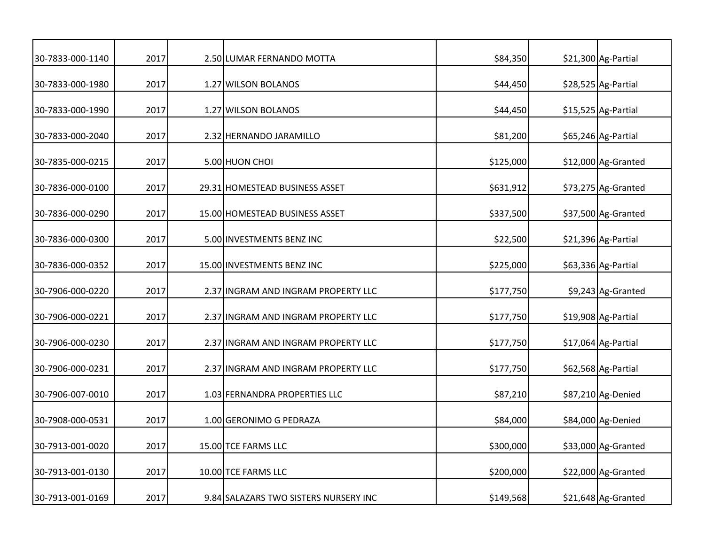| 30-7833-000-1140 | 2017 | 2.50 LUMAR FERNANDO MOTTA             | \$84,350  | \$21,300 Ag-Partial |
|------------------|------|---------------------------------------|-----------|---------------------|
| 30-7833-000-1980 | 2017 | 1.27 WILSON BOLANOS                   | \$44,450  | \$28,525 Ag-Partial |
| 30-7833-000-1990 | 2017 | 1.27 WILSON BOLANOS                   | \$44,450  | \$15,525 Ag-Partial |
| 30-7833-000-2040 | 2017 | 2.32 HERNANDO JARAMILLO               | \$81,200  | \$65,246 Ag-Partial |
| 30-7835-000-0215 | 2017 | 5.00 HUON CHOI                        | \$125,000 | \$12,000 Ag-Granted |
| 30-7836-000-0100 | 2017 | 29.31 HOMESTEAD BUSINESS ASSET        | \$631,912 | \$73,275 Ag-Granted |
| 30-7836-000-0290 | 2017 | 15.00 HOMESTEAD BUSINESS ASSET        | \$337,500 | \$37,500 Ag-Granted |
| 30-7836-000-0300 | 2017 | 5.00 INVESTMENTS BENZ INC             | \$22,500  | \$21,396 Ag-Partial |
| 30-7836-000-0352 | 2017 | 15.00 INVESTMENTS BENZ INC            | \$225,000 | \$63,336 Ag-Partial |
| 30-7906-000-0220 | 2017 | 2.37 INGRAM AND INGRAM PROPERTY LLC   | \$177,750 | \$9,243 Ag-Granted  |
| 30-7906-000-0221 | 2017 | 2.37 INGRAM AND INGRAM PROPERTY LLC   | \$177,750 | \$19,908 Ag-Partial |
| 30-7906-000-0230 | 2017 | 2.37 INGRAM AND INGRAM PROPERTY LLC   | \$177,750 | \$17,064 Ag-Partial |
| 30-7906-000-0231 | 2017 | 2.37 INGRAM AND INGRAM PROPERTY LLC   | \$177,750 | \$62,568 Ag-Partial |
| 30-7906-007-0010 | 2017 | 1.03 FERNANDRA PROPERTIES LLC         | \$87,210  | \$87,210 Ag-Denied  |
| 30-7908-000-0531 | 2017 | 1.00 GERONIMO G PEDRAZA               | \$84,000  | \$84,000 Ag-Denied  |
| 30-7913-001-0020 | 2017 | 15.00 TCE FARMS LLC                   | \$300,000 | \$33,000 Ag-Granted |
| 30-7913-001-0130 | 2017 | 10.00 TCE FARMS LLC                   | \$200,000 | \$22,000 Ag-Granted |
| 30-7913-001-0169 | 2017 | 9.84 SALAZARS TWO SISTERS NURSERY INC | \$149,568 | \$21,648 Ag-Granted |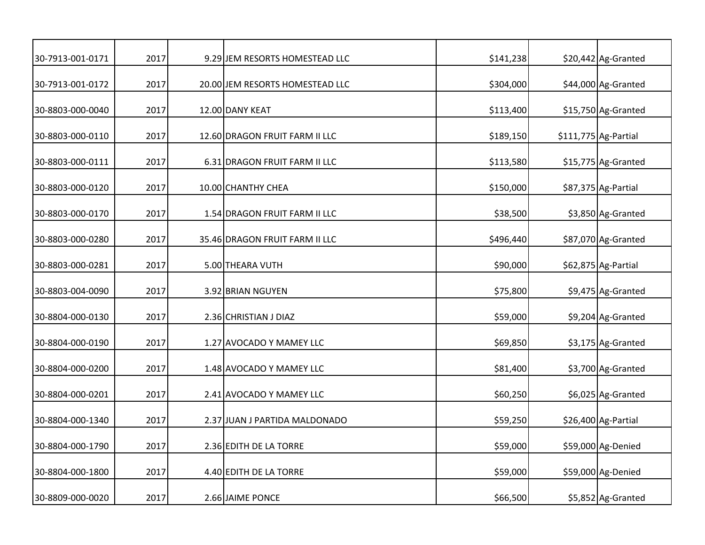| 30-7913-001-0171 | 2017 | 9.29 JEM RESORTS HOMESTEAD LLC  | \$141,238 | \$20,442 Ag-Granted   |
|------------------|------|---------------------------------|-----------|-----------------------|
| 30-7913-001-0172 | 2017 | 20.00 JEM RESORTS HOMESTEAD LLC | \$304,000 | \$44,000 Ag-Granted   |
| 30-8803-000-0040 | 2017 | 12.00 DANY KEAT                 | \$113,400 | \$15,750 Ag-Granted   |
| 30-8803-000-0110 | 2017 | 12.60 DRAGON FRUIT FARM II LLC  | \$189,150 | $$111,775$ Ag-Partial |
| 30-8803-000-0111 | 2017 | 6.31 DRAGON FRUIT FARM II LLC   | \$113,580 | \$15,775 Ag-Granted   |
| 30-8803-000-0120 | 2017 | 10.00 CHANTHY CHEA              | \$150,000 | \$87,375 Ag-Partial   |
| 30-8803-000-0170 | 2017 | 1.54 DRAGON FRUIT FARM II LLC   | \$38,500  | \$3,850 Ag-Granted    |
| 30-8803-000-0280 | 2017 | 35.46 DRAGON FRUIT FARM II LLC  | \$496,440 | \$87,070 Ag-Granted   |
| 30-8803-000-0281 | 2017 | 5.00 THEARA VUTH                | \$90,000  | \$62,875 Ag-Partial   |
| 30-8803-004-0090 | 2017 | 3.92 BRIAN NGUYEN               | \$75,800  | \$9,475 Ag-Granted    |
| 30-8804-000-0130 | 2017 | 2.36 CHRISTIAN J DIAZ           | \$59,000  | \$9,204 Ag-Granted    |
| 30-8804-000-0190 | 2017 | 1.27 AVOCADO Y MAMEY LLC        | \$69,850  | \$3,175 Ag-Granted    |
| 30-8804-000-0200 | 2017 | 1.48 AVOCADO Y MAMEY LLC        | \$81,400  | \$3,700 Ag-Granted    |
| 30-8804-000-0201 | 2017 | 2.41 AVOCADO Y MAMEY LLC        | \$60,250  | \$6,025 Ag-Granted    |
| 30-8804-000-1340 | 2017 | 2.37 JUAN J PARTIDA MALDONADO   | \$59,250  | \$26,400 Ag-Partial   |
| 30-8804-000-1790 | 2017 | 2.36 EDITH DE LA TORRE          | \$59,000  | \$59,000 Ag-Denied    |
| 30-8804-000-1800 | 2017 | 4.40 EDITH DE LA TORRE          | \$59,000  | \$59,000 Ag-Denied    |
| 30-8809-000-0020 | 2017 | 2.66 JAIME PONCE                | \$66,500  | \$5,852 Ag-Granted    |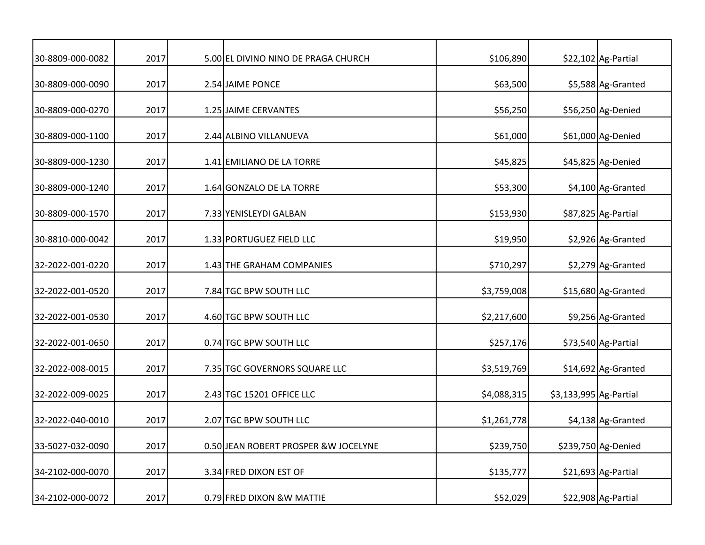| 30-8809-000-0082 | 2017 | 5.00 EL DIVINO NINO DE PRAGA CHURCH   | \$106,890   |                        | \$22,102 Ag-Partial |
|------------------|------|---------------------------------------|-------------|------------------------|---------------------|
| 30-8809-000-0090 | 2017 | 2.54 JAIME PONCE                      | \$63,500    |                        | \$5,588 Ag-Granted  |
| 30-8809-000-0270 | 2017 | 1.25 JAIME CERVANTES                  | \$56,250    |                        | \$56,250 Ag-Denied  |
| 30-8809-000-1100 | 2017 | 2.44 ALBINO VILLANUEVA                | \$61,000    |                        | \$61,000 Ag-Denied  |
| 30-8809-000-1230 | 2017 | 1.41 EMILIANO DE LA TORRE             | \$45,825    |                        | \$45,825 Ag-Denied  |
| 30-8809-000-1240 | 2017 | 1.64 GONZALO DE LA TORRE              | \$53,300    |                        | \$4,100 Ag-Granted  |
| 30-8809-000-1570 | 2017 | 7.33 YENISLEYDI GALBAN                | \$153,930   |                        | \$87,825 Ag-Partial |
| 30-8810-000-0042 | 2017 | 1.33 PORTUGUEZ FIELD LLC              | \$19,950    |                        | \$2,926 Ag-Granted  |
| 32-2022-001-0220 | 2017 | 1.43 THE GRAHAM COMPANIES             | \$710,297   |                        | \$2,279 Ag-Granted  |
| 32-2022-001-0520 | 2017 | 7.84 TGC BPW SOUTH LLC                | \$3,759,008 |                        | \$15,680 Ag-Granted |
| 32-2022-001-0530 | 2017 | 4.60 TGC BPW SOUTH LLC                | \$2,217,600 |                        | \$9,256 Ag-Granted  |
| 32-2022-001-0650 | 2017 | 0.74 TGC BPW SOUTH LLC                | \$257,176   |                        | \$73,540 Ag-Partial |
| 32-2022-008-0015 | 2017 | 7.35 TGC GOVERNORS SQUARE LLC         | \$3,519,769 |                        | \$14,692 Ag-Granted |
| 32-2022-009-0025 | 2017 | 2.43 TGC 15201 OFFICE LLC             | \$4,088,315 | \$3,133,995 Ag-Partial |                     |
| 32-2022-040-0010 | 2017 | 2.07 TGC BPW SOUTH LLC                | \$1,261,778 |                        | \$4,138 Ag-Granted  |
| 33-5027-032-0090 | 2017 | 0.50 JEAN ROBERT PROSPER & W JOCELYNE | \$239,750   |                        | \$239,750 Ag-Denied |
| 34-2102-000-0070 | 2017 | 3.34 FRED DIXON EST OF                | \$135,777   |                        | \$21,693 Ag-Partial |
| 34-2102-000-0072 | 2017 | 0.79 FRED DIXON &W MATTIE             | \$52,029    |                        | \$22,908 Ag-Partial |